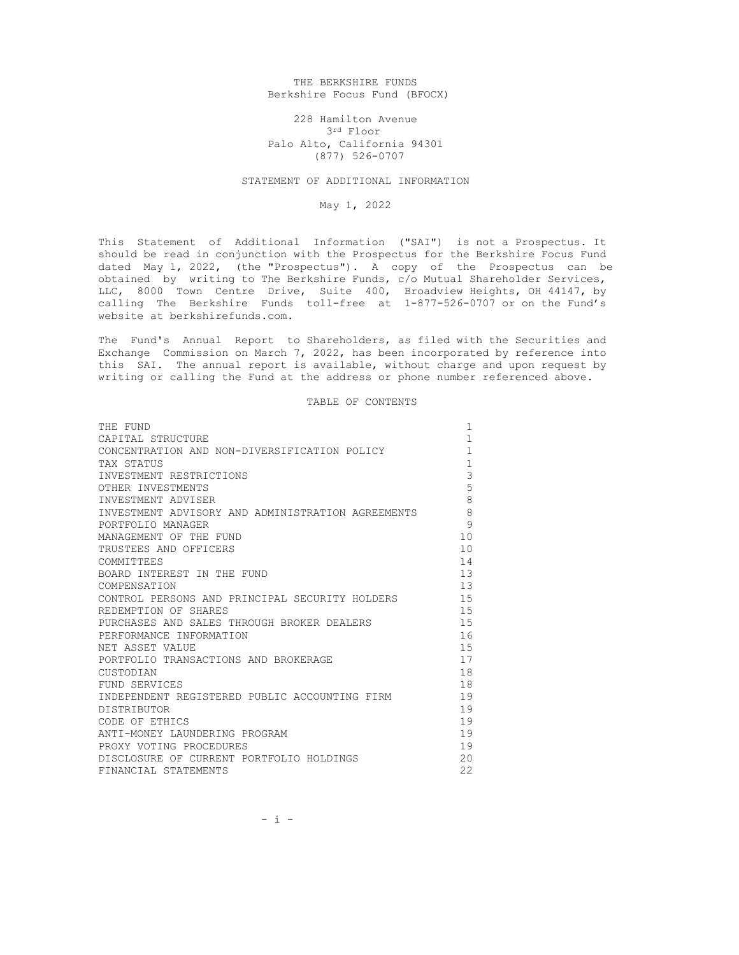# THE BERKSHIRE FUNDS Berkshire Focus Fund (BFOCX)

# 228 Hamilton Avenue 3rd Floor Palo Alto, California 94301 (877) 526-0707

#### STATEMENT OF ADDITIONAL INFORMATION

# May 1, 2022

This Statement of Additional Information ("SAI") is not a Prospectus. It should be read in conjunction with the Prospectus for the Berkshire Focus Fund dated May 1, 2022, (the "Prospectus"). A copy of the Prospectus can be obtained by writing to The Berkshire Funds, c/o Mutual Shareholder Services, LLC, 8000 Town Centre Drive, Suite 400, Broadview Heights, OH 44147, by calling The Berkshire Funds toll-free at 1-877-526-0707 or on the Fund's website at berkshirefunds.com.

The Fund's Annual Report to Shareholders, as filed with the Securities and Exchange Commission on March 7, 2022, has been incorporated by reference into this SAI. The annual report is available, without charge and upon request by writing or calling the Fund at the address or phone number referenced above.

### TABLE OF CONTENTS

| THE FUND                                          | 1  |
|---------------------------------------------------|----|
| CAPITAL STRUCTURE                                 | 1  |
| CONCENTRATION AND NON-DIVERSIFICATION POLICY      | 1  |
| TAX STATUS                                        | 1  |
| INVESTMENT RESTRICTIONS                           | 3  |
| OTHER INVESTMENTS                                 | 5  |
| INVESTMENT ADVISER                                | 8  |
| INVESTMENT ADVISORY AND ADMINISTRATION AGREEMENTS | 8  |
| PORTFOLIO MANAGER                                 | 9  |
| MANAGEMENT OF THE FUND                            | 10 |
| TRUSTEES AND OFFICERS                             | 10 |
| COMMITTEES                                        | 14 |
| BOARD INTEREST IN THE FUND                        | 13 |
| COMPENSATION                                      | 13 |
| CONTROL PERSONS AND PRINCIPAL SECURITY HOLDERS    | 15 |
| REDEMPTION OF SHARES                              | 15 |
| PURCHASES AND SALES THROUGH BROKER DEALERS        | 15 |
| PERFORMANCE INFORMATION                           | 16 |
| NET ASSET VALUE                                   | 15 |
| PORTFOLIO TRANSACTIONS AND BROKERAGE              | 17 |
| CUSTODIAN                                         | 18 |
| FUND SERVICES                                     | 18 |
| INDEPENDENT REGISTERED PUBLIC ACCOUNTING FIRM     | 19 |
| <b>DISTRIBUTOR</b>                                | 19 |
| CODE OF ETHICS                                    | 19 |
| ANTI-MONEY LAUNDERING PROGRAM                     | 19 |
| PROXY VOTING PROCEDURES                           | 19 |
| DISCLOSURE OF CURRENT PORTFOLIO HOLDINGS          | 20 |
| FINANCIAL STATEMENTS                              | 22 |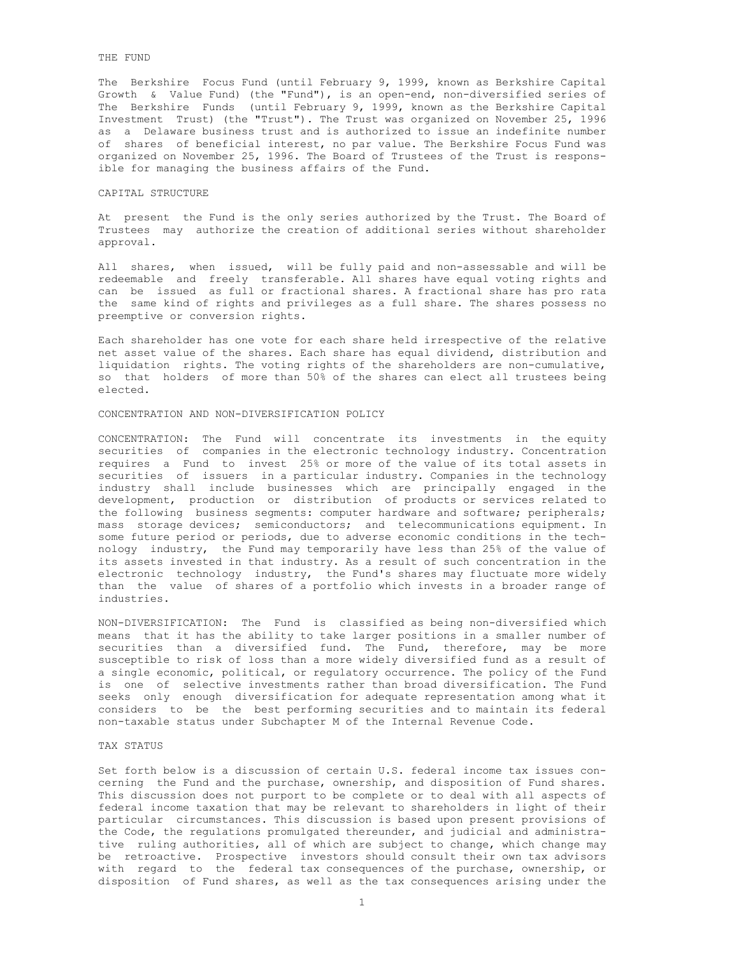### THE FUND

The Berkshire Focus Fund (until February 9, 1999, known as Berkshire Capital Growth & Value Fund) (the "Fund"), is an open-end, non-diversified series of The Berkshire Funds (until February 9, 1999, known as the Berkshire Capital Investment Trust) (the "Trust"). The Trust was organized on November 25, 1996 as a Delaware business trust and is authorized to issue an indefinite number of shares of beneficial interest, no par value. The Berkshire Focus Fund was organized on November 25, 1996. The Board of Trustees of the Trust is responsible for managing the business affairs of the Fund.

# CAPITAL STRUCTURE

At present the Fund is the only series authorized by the Trust. The Board of Trustees may authorize the creation of additional series without shareholder approval.

All shares, when issued, will be fully paid and non-assessable and will be redeemable and freely transferable. All shares have equal voting rights and can be issued as full or fractional shares. A fractional share has pro rata the same kind of rights and privileges as a full share. The shares possess no preemptive or conversion rights.

Each shareholder has one vote for each share held irrespective of the relative net asset value of the shares. Each share has equal dividend, distribution and liquidation rights. The voting rights of the shareholders are non-cumulative, so that holders of more than 50% of the shares can elect all trustees being elected.

#### CONCENTRATION AND NON-DIVERSIFICATION POLICY

CONCENTRATION: The Fund will concentrate its investments in the equity securities of companies in the electronic technology industry. Concentration requires a Fund to invest 25% or more of the value of its total assets in securities of issuers in a particular industry. Companies in the technology industry shall include businesses which are principally engaged in the development, production or distribution of products or services related to the following business segments: computer hardware and software; peripherals; mass storage devices; semiconductors; and telecommunications equipment. In some future period or periods, due to adverse economic conditions in the technology industry, the Fund may temporarily have less than 25% of the value of its assets invested in that industry. As a result of such concentration in the electronic technology industry, the Fund's shares may fluctuate more widely than the value of shares of a portfolio which invests in a broader range of industries.

NON-DIVERSIFICATION: The Fund is classified as being non-diversified which means that it has the ability to take larger positions in a smaller number of securities than a diversified fund. The Fund, therefore, may be more susceptible to risk of loss than a more widely diversified fund as a result of a single economic, political, or regulatory occurrence. The policy of the Fund is one of selective investments rather than broad diversification. The Fund seeks only enough diversification for adequate representation among what it considers to be the best performing securities and to maintain its federal non-taxable status under Subchapter M of the Internal Revenue Code.

# TAX STATUS

Set forth below is a discussion of certain U.S. federal income tax issues concerning the Fund and the purchase, ownership, and disposition of Fund shares. This discussion does not purport to be complete or to deal with all aspects of federal income taxation that may be relevant to shareholders in light of their particular circumstances. This discussion is based upon present provisions of the Code, the regulations promulgated thereunder, and judicial and administrative ruling authorities, all of which are subject to change, which change may be retroactive. Prospective investors should consult their own tax advisors with regard to the federal tax consequences of the purchase, ownership, or disposition of Fund shares, as well as the tax consequences arising under the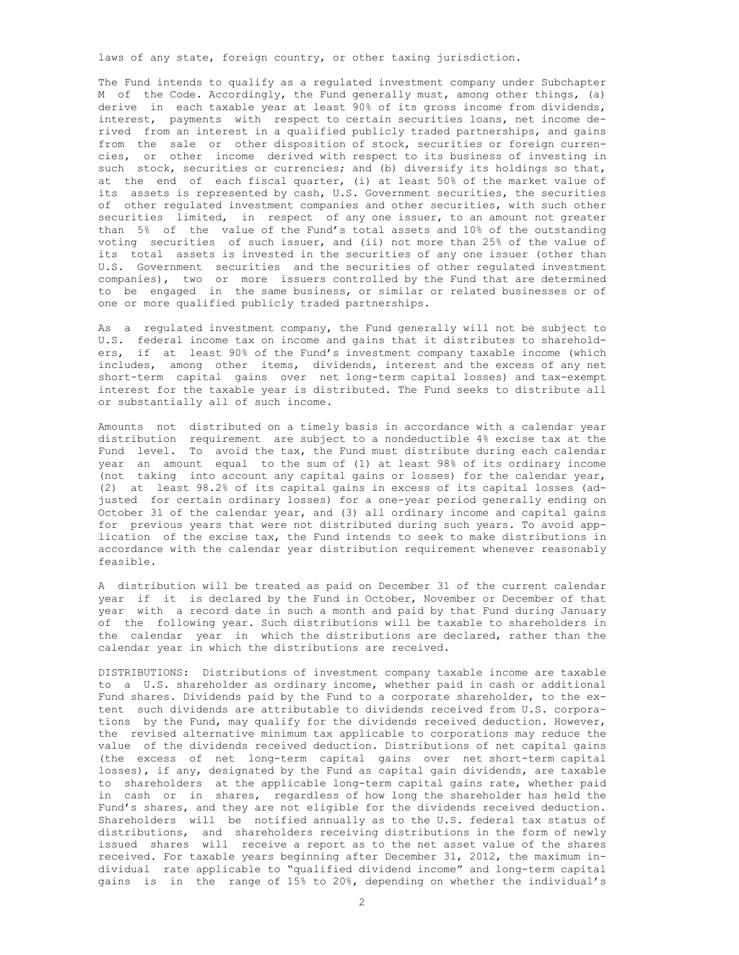laws of any state, foreign country, or other taxing jurisdiction.

The Fund intends to qualify as a regulated investment company under Subchapter M of the Code. Accordingly, the Fund generally must, among other things, (a) derive in each taxable year at least 90% of its gross income from dividends, interest, payments with respect to certain securities loans, net income derived from an interest in a qualified publicly traded partnerships, and gains from the sale or other disposition of stock, securities or foreign currencies, or other income derived with respect to its business of investing in such stock, securities or currencies; and (b) diversify its holdings so that, at the end of each fiscal quarter, (i) at least 50% of the market value of its assets is represented by cash, U.S. Government securities, the securities of other regulated investment companies and other securities, with such other securities limited, in respect of any one issuer, to an amount not greater than 5% of the value of the Fund's total assets and 10% of the outstanding voting securities of such issuer, and (ii) not more than 25% of the value of its total assets is invested in the securities of any one issuer (other than U.S. Government securities and the securities of other regulated investment companies), two or more issuers controlled by the Fund that are determined to be engaged in the same business, or similar or related businesses or of one or more qualified publicly traded partnerships.

As a regulated investment company, the Fund generally will not be subject to U.S. federal income tax on income and gains that it distributes to shareholders, if at least 90% of the Fund's investment company taxable income (which includes, among other items, dividends, interest and the excess of any net short-term capital gains over net long-term capital losses) and tax-exempt interest for the taxable year is distributed. The Fund seeks to distribute all or substantially all of such income.

Amounts not distributed on a timely basis in accordance with a calendar year distribution requirement are subject to a nondeductible 4% excise tax at the Fund level. To avoid the tax, the Fund must distribute during each calendar year an amount equal to the sum of (1) at least 98% of its ordinary income (not taking into account any capital gains or losses) for the calendar year, (2) at least 98.2% of its capital gains in excess of its capital losses (adjusted for certain ordinary losses) for a one-year period generally ending on October 31 of the calendar year, and (3) all ordinary income and capital gains for previous years that were not distributed during such years. To avoid application of the excise tax, the Fund intends to seek to make distributions in accordance with the calendar year distribution requirement whenever reasonably feasible.

A distribution will be treated as paid on December 31 of the current calendar year if it is declared by the Fund in October, November or December of that year with a record date in such a month and paid by that Fund during January of the following year. Such distributions will be taxable to shareholders in the calendar year in which the distributions are declared, rather than the calendar year in which the distributions are received.

DISTRIBUTIONS: Distributions of investment company taxable income are taxable to a U.S. shareholder as ordinary income, whether paid in cash or additional Fund shares. Dividends paid by the Fund to a corporate shareholder, to the extent such dividends are attributable to dividends received from U.S. corporations by the Fund, may qualify for the dividends received deduction. However, the revised alternative minimum tax applicable to corporations may reduce the value of the dividends received deduction. Distributions of net capital gains (the excess of net long-term capital gains over net short-term capital losses), if any, designated by the Fund as capital gain dividends, are taxable to shareholders at the applicable long-term capital gains rate, whether paid in cash or in shares, regardless of how long the shareholder has held the Fund's shares, and they are not eligible for the dividends received deduction. Shareholders will be notified annually as to the U.S. federal tax status of distributions, and shareholders receiving distributions in the form of newly issued shares will receive a report as to the net asset value of the shares received. For taxable years beginning after December 31, 2012, the maximum individual rate applicable to "qualified dividend income" and long-term capital gains is in the range of 15% to 20%, depending on whether the individual's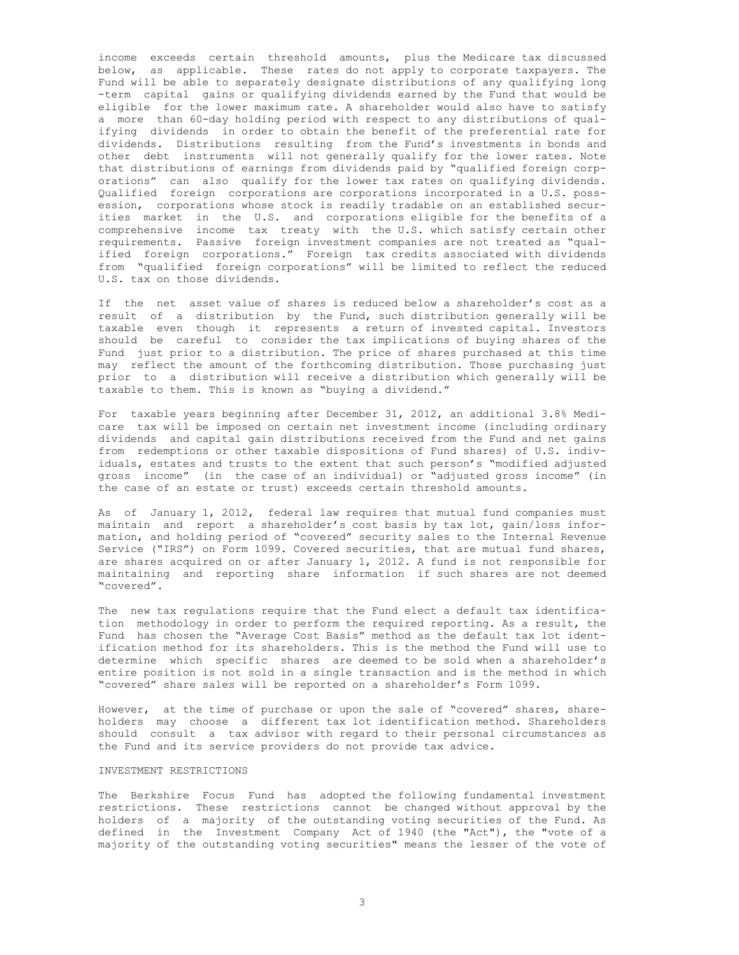income exceeds certain threshold amounts, plus the Medicare tax discussed below, as applicable. These rates do not apply to corporate taxpayers. The Fund will be able to separately designate distributions of any qualifying long -term capital gains or qualifying dividends earned by the Fund that would be eligible for the lower maximum rate. A shareholder would also have to satisfy a more than 60-day holding period with respect to any distributions of qualifying dividends in order to obtain the benefit of the preferential rate for dividends. Distributions resulting from the Fund's investments in bonds and other debt instruments will not generally qualify for the lower rates. Note that distributions of earnings from dividends paid by "qualified foreign corporations" can also qualify for the lower tax rates on qualifying dividends. Qualified foreign corporations are corporations incorporated in a U.S. possession, corporations whose stock is readily tradable on an established securities market in the U.S. and corporations eligible for the benefits of a comprehensive income tax treaty with the U.S. which satisfy certain other requirements. Passive foreign investment companies are not treated as "qualified foreign corporations." Foreign tax credits associated with dividends from "qualified foreign corporations" will be limited to reflect the reduced U.S. tax on those dividends.

If the net asset value of shares is reduced below a shareholder's cost as a result of a distribution by the Fund, such distribution generally will be taxable even though it represents a return of invested capital. Investors should be careful to consider the tax implications of buying shares of the Fund just prior to a distribution. The price of shares purchased at this time may reflect the amount of the forthcoming distribution. Those purchasing just prior to a distribution will receive a distribution which generally will be taxable to them. This is known as "buying a dividend."

For taxable years beginning after December 31, 2012, an additional 3.8% Medicare tax will be imposed on certain net investment income (including ordinary dividends and capital gain distributions received from the Fund and net gains from redemptions or other taxable dispositions of Fund shares) of U.S. individuals, estates and trusts to the extent that such person's "modified adjusted gross income" (in the case of an individual) or "adjusted gross income" (in the case of an estate or trust) exceeds certain threshold amounts.

As of January 1, 2012, federal law requires that mutual fund companies must maintain and report a shareholder's cost basis by tax lot, gain/loss information, and holding period of "covered" security sales to the Internal Revenue Service ("IRS") on Form 1099. Covered securities, that are mutual fund shares, are shares acquired on or after January 1, 2012. A fund is not responsible for maintaining and reporting share information if such shares are not deemed "covered".

The new tax regulations require that the Fund elect a default tax identification methodology in order to perform the required reporting. As a result, the Fund has chosen the "Average Cost Basis" method as the default tax lot identification method for its shareholders. This is the method the Fund will use to determine which specific shares are deemed to be sold when a shareholder's entire position is not sold in a single transaction and is the method in which "covered" share sales will be reported on a shareholder's Form 1099.

However, at the time of purchase or upon the sale of "covered" shares, shareholders may choose a different tax lot identification method. Shareholders should consult a tax advisor with regard to their personal circumstances as the Fund and its service providers do not provide tax advice.

## INVESTMENT RESTRICTIONS

The Berkshire Focus Fund has adopted the following fundamental investment restrictions. These restrictions cannot be changed without approval by the holders of a majority of the outstanding voting securities of the Fund. As defined in the Investment Company Act of 1940 (the "Act"), the "vote of a majority of the outstanding voting securities" means the lesser of the vote of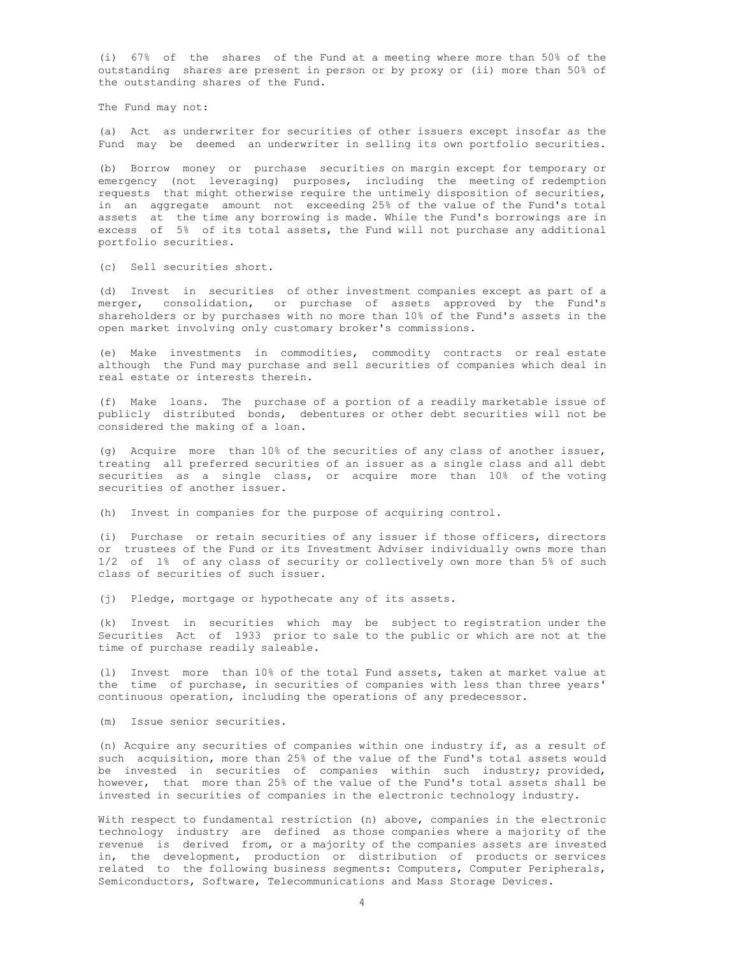(i) 67% of the shares of the Fund at a meeting where more than 50% of the outstanding shares are present in person or by proxy or (ii) more than 50% of the outstanding shares of the Fund.

The Fund may not:

(a) Act as underwriter for securities of other issuers except insofar as the Fund may be deemed an underwriter in selling its own portfolio securities.

(b) Borrow money or purchase securities on margin except for temporary or emergency (not leveraging) purposes, including the meeting of redemption requests that might otherwise require the untimely disposition of securities, in an aggregate amount not exceeding 25% of the value of the Fund's total assets at the time any borrowing is made. While the Fund's borrowings are in excess of 5% of its total assets, the Fund will not purchase any additional portfolio securities.

(c) Sell securities short.

(d) Invest in securities of other investment companies except as part of a merger, consolidation, or purchase of assets approved by the Fund's shareholders or by purchases with no more than 10% of the Fund's assets in the open market involving only customary broker's commissions.

(e) Make investments in commodities, commodity contracts or real estate although the Fund may purchase and sell securities of companies which deal in real estate or interests therein.

(f) Make loans. The purchase of a portion of a readily marketable issue of publicly distributed bonds, debentures or other debt securities will not be considered the making of a loan.

(g) Acquire more than 10% of the securities of any class of another issuer, treating all preferred securities of an issuer as a single class and all debt securities as a single class, or acquire more than 10% of the voting securities of another issuer.

(h) Invest in companies for the purpose of acquiring control.

(i) Purchase or retain securities of any issuer if those officers, directors or trustees of the Fund or its Investment Adviser individually owns more than 1/2 of 1% of any class of security or collectively own more than 5% of such class of securities of such issuer.

(j) Pledge, mortgage or hypothecate any of its assets.

(k) Invest in securities which may be subject to registration under the Securities Act of 1933 prior to sale to the public or which are not at the time of purchase readily saleable.

(l) Invest more than 10% of the total Fund assets, taken at market value at the time of purchase, in securities of companies with less than three years' continuous operation, including the operations of any predecessor.

(m) Issue senior securities.

(n) Acquire any securities of companies within one industry if, as a result of such acquisition, more than 25% of the value of the Fund's total assets would be invested in securities of companies within such industry; provided, however, that more than 25% of the value of the Fund's total assets shall be invested in securities of companies in the electronic technology industry.

With respect to fundamental restriction (n) above, companies in the electronic technology industry are defined as those companies where a majority of the revenue is derived from, or a majority of the companies assets are invested in, the development, production or distribution of products or services related to the following business segments: Computers, Computer Peripherals, Semiconductors, Software, Telecommunications and Mass Storage Devices.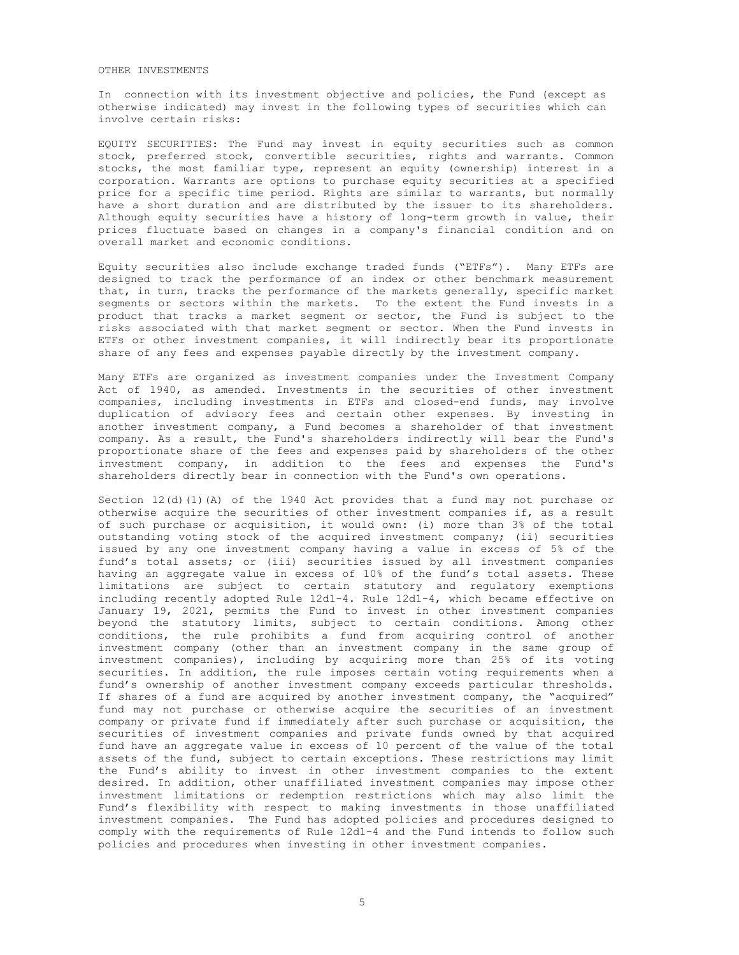#### OTHER INVESTMENTS

In connection with its investment objective and policies, the Fund (except as otherwise indicated) may invest in the following types of securities which can involve certain risks:

EQUITY SECURITIES: The Fund may invest in equity securities such as common stock, preferred stock, convertible securities, rights and warrants. Common stocks, the most familiar type, represent an equity (ownership) interest in a corporation. Warrants are options to purchase equity securities at a specified price for a specific time period. Rights are similar to warrants, but normally have a short duration and are distributed by the issuer to its shareholders. Although equity securities have a history of long-term growth in value, their prices fluctuate based on changes in a company's financial condition and on overall market and economic conditions.

Equity securities also include exchange traded funds ("ETFs"). Many ETFs are designed to track the performance of an index or other benchmark measurement that, in turn, tracks the performance of the markets generally, specific market segments or sectors within the markets. To the extent the Fund invests in a product that tracks a market segment or sector, the Fund is subject to the risks associated with that market segment or sector. When the Fund invests in ETFs or other investment companies, it will indirectly bear its proportionate share of any fees and expenses payable directly by the investment company.

Many ETFs are organized as investment companies under the Investment Company Act of 1940, as amended. Investments in the securities of other investment companies, including investments in ETFs and closed-end funds, may involve duplication of advisory fees and certain other expenses. By investing in another investment company, a Fund becomes a shareholder of that investment company. As a result, the Fund's shareholders indirectly will bear the Fund's proportionate share of the fees and expenses paid by shareholders of the other investment company, in addition to the fees and expenses the Fund's shareholders directly bear in connection with the Fund's own operations.

Section  $12(d)(1)(A)$  of the 1940 Act provides that a fund may not purchase or otherwise acquire the securities of other investment companies if, as a result of such purchase or acquisition, it would own: (i) more than 3% of the total outstanding voting stock of the acquired investment company; (ii) securities issued by any one investment company having a value in excess of 5% of the fund's total assets; or (iii) securities issued by all investment companies having an aggregate value in excess of 10% of the fund's total assets. These limitations are subject to certain statutory and regulatory exemptions including recently adopted Rule 12d1-4. Rule 12d1-4, which became effective on January 19, 2021, permits the Fund to invest in other investment companies beyond the statutory limits, subject to certain conditions. Among other conditions, the rule prohibits a fund from acquiring control of another investment company (other than an investment company in the same group of investment companies), including by acquiring more than 25% of its voting securities. In addition, the rule imposes certain voting requirements when a fund's ownership of another investment company exceeds particular thresholds. If shares of a fund are acquired by another investment company, the "acquired" fund may not purchase or otherwise acquire the securities of an investment company or private fund if immediately after such purchase or acquisition, the securities of investment companies and private funds owned by that acquired fund have an aggregate value in excess of 10 percent of the value of the total assets of the fund, subject to certain exceptions. These restrictions may limit the Fund's ability to invest in other investment companies to the extent desired. In addition, other unaffiliated investment companies may impose other investment limitations or redemption restrictions which may also limit the Fund's flexibility with respect to making investments in those unaffiliated investment companies. The Fund has adopted policies and procedures designed to comply with the requirements of Rule 12d1-4 and the Fund intends to follow such policies and procedures when investing in other investment companies.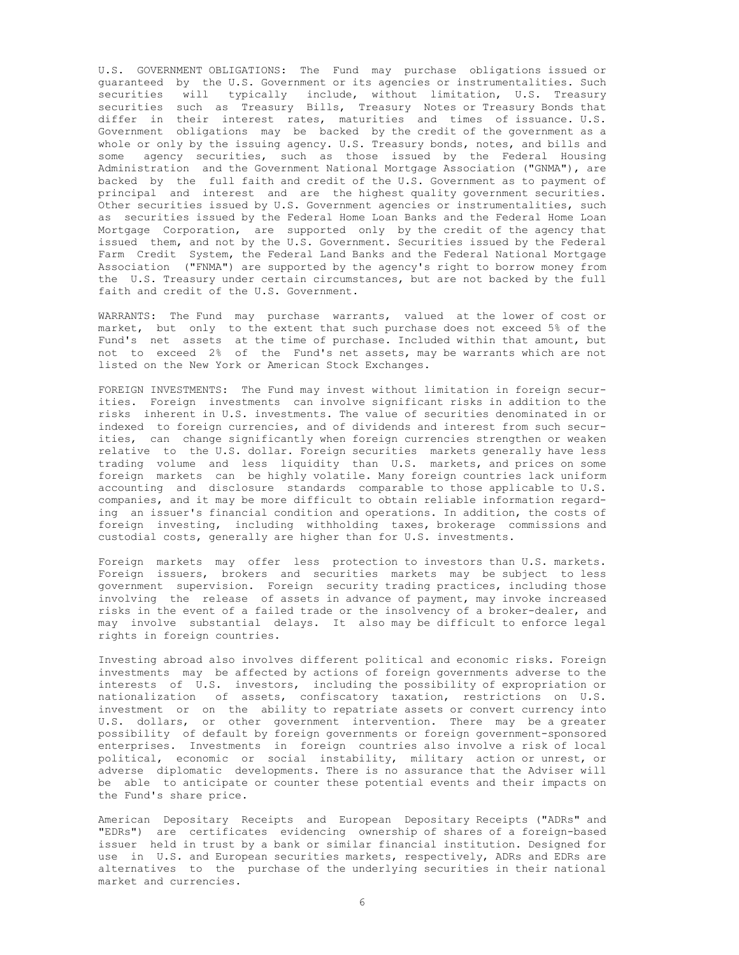U.S. GOVERNMENT OBLIGATIONS: The Fund may purchase obligations issued or guaranteed by the U.S. Government or its agencies or instrumentalities. Such securities will typically include, without limitation, U.S. Treasury securities such as Treasury Bills, Treasury Notes or Treasury Bonds that differ in their interest rates, maturities and times of issuance. U.S. Government obligations may be backed by the credit of the government as a whole or only by the issuing agency. U.S. Treasury bonds, notes, and bills and some agency securities, such as those issued by the Federal Housing Administration and the Government National Mortgage Association ("GNMA"), are backed by the full faith and credit of the U.S. Government as to payment of principal and interest and are the highest quality government securities. Other securities issued by U.S. Government agencies or instrumentalities, such as securities issued by the Federal Home Loan Banks and the Federal Home Loan Mortgage Corporation, are supported only by the credit of the agency that issued them, and not by the U.S. Government. Securities issued by the Federal Farm Credit System, the Federal Land Banks and the Federal National Mortgage Association ("FNMA") are supported by the agency's right to borrow money from the U.S. Treasury under certain circumstances, but are not backed by the full faith and credit of the U.S. Government.

WARRANTS: The Fund may purchase warrants, valued at the lower of cost or market, but only to the extent that such purchase does not exceed 5% of the Fund's net assets at the time of purchase. Included within that amount, but not to exceed 2% of the Fund's net assets, may be warrants which are not listed on the New York or American Stock Exchanges.

FOREIGN INVESTMENTS: The Fund may invest without limitation in foreign securities. Foreign investments can involve significant risks in addition to the risks inherent in U.S. investments. The value of securities denominated in or indexed to foreign currencies, and of dividends and interest from such securities, can change significantly when foreign currencies strengthen or weaken relative to the U.S. dollar. Foreign securities markets generally have less trading volume and less liquidity than U.S. markets, and prices on some foreign markets can be highly volatile. Many foreign countries lack uniform accounting and disclosure standards comparable to those applicable to U.S. companies, and it may be more difficult to obtain reliable information regarding an issuer's financial condition and operations. In addition, the costs of foreign investing, including withholding taxes, brokerage commissions and custodial costs, generally are higher than for U.S. investments.

Foreign markets may offer less protection to investors than U.S. markets. Foreign issuers, brokers and securities markets may be subject to less government supervision. Foreign security trading practices, including those involving the release of assets in advance of payment, may invoke increased risks in the event of a failed trade or the insolvency of a broker-dealer, and may involve substantial delays. It also may be difficult to enforce legal rights in foreign countries.

Investing abroad also involves different political and economic risks. Foreign investments may be affected by actions of foreign governments adverse to the interests of U.S. investors, including the possibility of expropriation or nationalization of assets, confiscatory taxation, restrictions on U.S. investment or on the ability to repatriate assets or convert currency into U.S. dollars, or other government intervention. There may be a greater possibility of default by foreign governments or foreign government-sponsored enterprises. Investments in foreign countries also involve a risk of local political, economic or social instability, military action or unrest, or adverse diplomatic developments. There is no assurance that the Adviser will be able to anticipate or counter these potential events and their impacts on the Fund's share price.

American Depositary Receipts and European Depositary Receipts ("ADRs" and "EDRs") are certificates evidencing ownership of shares of a foreign-based issuer held in trust by a bank or similar financial institution. Designed for use in U.S. and European securities markets, respectively, ADRs and EDRs are alternatives to the purchase of the underlying securities in their national market and currencies.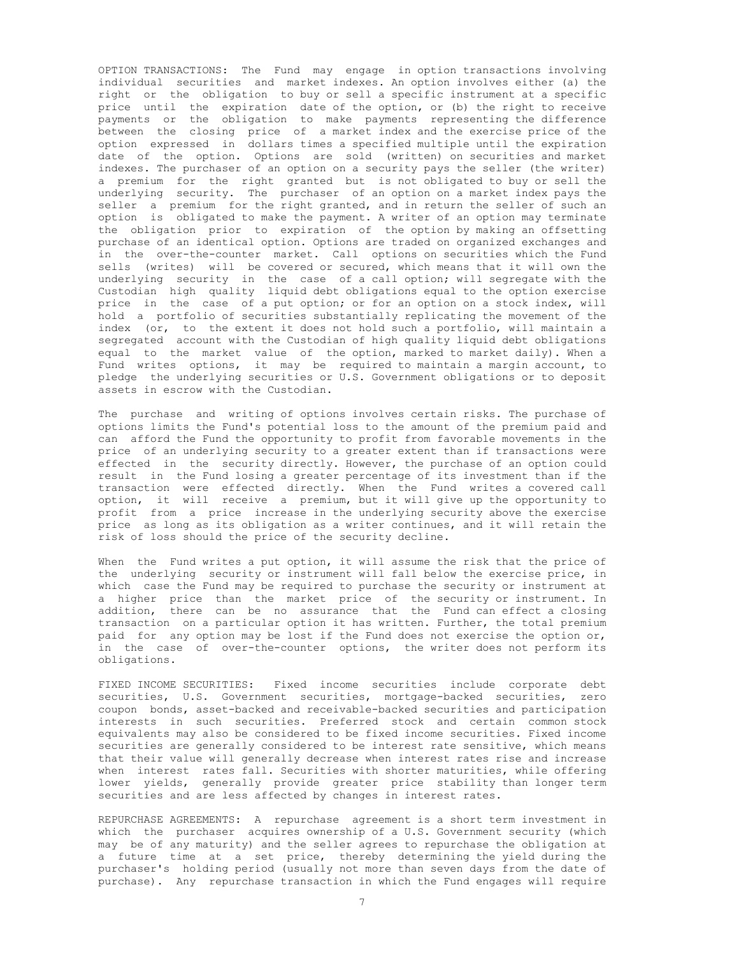OPTION TRANSACTIONS: The Fund may engage in option transactions involving individual securities and market indexes. An option involves either (a) the right or the obligation to buy or sell a specific instrument at a specific price until the expiration date of the option, or (b) the right to receive payments or the obligation to make payments representing the difference between the closing price of a market index and the exercise price of the option expressed in dollars times a specified multiple until the expiration date of the option. Options are sold (written) on securities and market indexes. The purchaser of an option on a security pays the seller (the writer) a premium for the right granted but is not obligated to buy or sell the underlying security. The purchaser of an option on a market index pays the seller a premium for the right granted, and in return the seller of such an option is obligated to make the payment. A writer of an option may terminate the obligation prior to expiration of the option by making an offsetting purchase of an identical option. Options are traded on organized exchanges and in the over-the-counter market. Call options on securities which the Fund sells (writes) will be covered or secured, which means that it will own the underlying security in the case of a call option; will segregate with the Custodian high quality liquid debt obligations equal to the option exercise price in the case of a put option; or for an option on a stock index, will hold a portfolio of securities substantially replicating the movement of the index (or, to the extent it does not hold such a portfolio, will maintain a segregated account with the Custodian of high quality liquid debt obligations equal to the market value of the option, marked to market daily). When a Fund writes options, it may be required to maintain a margin account, to pledge the underlying securities or U.S. Government obligations or to deposit assets in escrow with the Custodian.

The purchase and writing of options involves certain risks. The purchase of options limits the Fund's potential loss to the amount of the premium paid and can afford the Fund the opportunity to profit from favorable movements in the price of an underlying security to a greater extent than if transactions were effected in the security directly. However, the purchase of an option could result in the Fund losing a greater percentage of its investment than if the transaction were effected directly. When the Fund writes a covered call option, it will receive a premium, but it will give up the opportunity to profit from a price increase in the underlying security above the exercise price as long as its obligation as a writer continues, and it will retain the risk of loss should the price of the security decline.

When the Fund writes a put option, it will assume the risk that the price of the underlying security or instrument will fall below the exercise price, in which case the Fund may be required to purchase the security or instrument at a higher price than the market price of the security or instrument. In addition, there can be no assurance that the Fund can effect a closing transaction on a particular option it has written. Further, the total premium paid for any option may be lost if the Fund does not exercise the option or, in the case of over-the-counter options, the writer does not perform its obligations.

FIXED INCOME SECURITIES: Fixed income securities include corporate debt securities, U.S. Government securities, mortgage-backed securities, zero coupon bonds, asset-backed and receivable-backed securities and participation interests in such securities. Preferred stock and certain common stock equivalents may also be considered to be fixed income securities. Fixed income securities are generally considered to be interest rate sensitive, which means that their value will generally decrease when interest rates rise and increase when interest rates fall. Securities with shorter maturities, while offering lower yields, generally provide greater price stability than longer term securities and are less affected by changes in interest rates.

REPURCHASE AGREEMENTS: A repurchase agreement is a short term investment in which the purchaser acquires ownership of a U.S. Government security (which may be of any maturity) and the seller agrees to repurchase the obligation at a future time at a set price, thereby determining the yield during the purchaser's holding period (usually not more than seven days from the date of purchase). Any repurchase transaction in which the Fund engages will require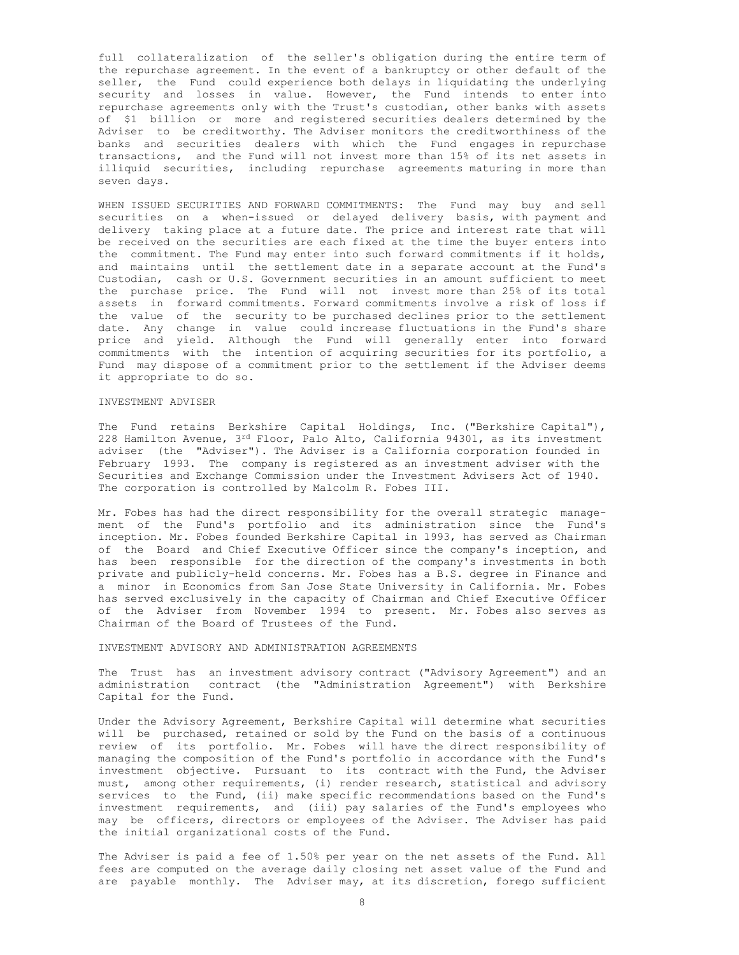full collateralization of the seller's obligation during the entire term of the repurchase agreement. In the event of a bankruptcy or other default of the seller, the Fund could experience both delays in liquidating the underlying security and losses in value. However, the Fund intends to enter into repurchase agreements only with the Trust's custodian, other banks with assets of \$1 billion or more and registered securities dealers determined by the Adviser to be creditworthy. The Adviser monitors the creditworthiness of the banks and securities dealers with which the Fund engages in repurchase transactions, and the Fund will not invest more than 15% of its net assets in illiquid securities, including repurchase agreements maturing in more than seven days.

WHEN ISSUED SECURITIES AND FORWARD COMMITMENTS: The Fund may buy and sell securities on a when-issued or delayed delivery basis, with payment and delivery taking place at a future date. The price and interest rate that will be received on the securities are each fixed at the time the buyer enters into the commitment. The Fund may enter into such forward commitments if it holds, and maintains until the settlement date in a separate account at the Fund's Custodian, cash or U.S. Government securities in an amount sufficient to meet the purchase price. The Fund will not invest more than 25% of its total assets in forward commitments. Forward commitments involve a risk of loss if the value of the security to be purchased declines prior to the settlement date. Any change in value could increase fluctuations in the Fund's share price and yield. Although the Fund will generally enter into forward commitments with the intention of acquiring securities for its portfolio, a Fund may dispose of a commitment prior to the settlement if the Adviser deems it appropriate to do so.

# INVESTMENT ADVISER

The Fund retains Berkshire Capital Holdings, Inc. ("Berkshire Capital"), 228 Hamilton Avenue, 3rd Floor, Palo Alto, California 94301, as its investment adviser (the "Adviser"). The Adviser is a California corporation founded in February 1993. The company is registered as an investment adviser with the Securities and Exchange Commission under the Investment Advisers Act of 1940. The corporation is controlled by Malcolm R. Fobes III.

Mr. Fobes has had the direct responsibility for the overall strategic management of the Fund's portfolio and its administration since the Fund's inception. Mr. Fobes founded Berkshire Capital in 1993, has served as Chairman of the Board and Chief Executive Officer since the company's inception, and has been responsible for the direction of the company's investments in both private and publicly-held concerns. Mr. Fobes has a B.S. degree in Finance and a minor in Economics from San Jose State University in California. Mr. Fobes has served exclusively in the capacity of Chairman and Chief Executive Officer of the Adviser from November 1994 to present. Mr. Fobes also serves as Chairman of the Board of Trustees of the Fund.

## INVESTMENT ADVISORY AND ADMINISTRATION AGREEMENTS

The Trust has an investment advisory contract ("Advisory Agreement") and an administration contract (the "Administration Agreement") with Berkshire Capital for the Fund.

Under the Advisory Agreement, Berkshire Capital will determine what securities will be purchased, retained or sold by the Fund on the basis of a continuous review of its portfolio. Mr. Fobes will have the direct responsibility of managing the composition of the Fund's portfolio in accordance with the Fund's investment objective. Pursuant to its contract with the Fund, the Adviser must, among other requirements, (i) render research, statistical and advisory services to the Fund, (ii) make specific recommendations based on the Fund's investment requirements, and (iii) pay salaries of the Fund's employees who may be officers, directors or employees of the Adviser. The Adviser has paid the initial organizational costs of the Fund.

The Adviser is paid a fee of 1.50% per year on the net assets of the Fund. All fees are computed on the average daily closing net asset value of the Fund and are payable monthly. The Adviser may, at its discretion, forego sufficient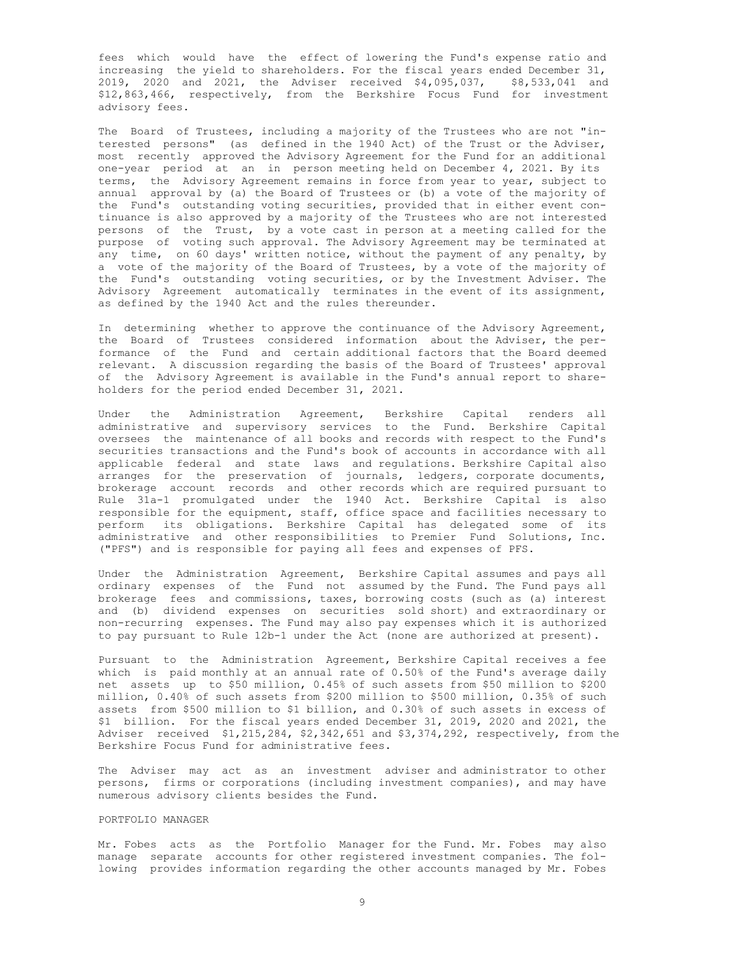fees which would have the effect of lowering the Fund's expense ratio and increasing the yield to shareholders. For the fiscal years ended December 31, 2019, 2020 and 2021, the Adviser received \$4,095,037, \$8,533,041 and \$12,863,466, respectively, from the Berkshire Focus Fund for investment advisory fees.

The Board of Trustees, including a majority of the Trustees who are not "interested persons" (as defined in the 1940 Act) of the Trust or the Adviser, most recently approved the Advisory Agreement for the Fund for an additional one-year period at an in person meeting held on December 4, 2021. By its terms, the Advisory Agreement remains in force from year to year, subject to annual approval by (a) the Board of Trustees or (b) a vote of the majority of the Fund's outstanding voting securities, provided that in either event continuance is also approved by a majority of the Trustees who are not interested persons of the Trust, by a vote cast in person at a meeting called for the purpose of voting such approval. The Advisory Agreement may be terminated at any time, on 60 days' written notice, without the payment of any penalty, by a vote of the majority of the Board of Trustees, by a vote of the majority of the Fund's outstanding voting securities, or by the Investment Adviser. The Advisory Agreement automatically terminates in the event of its assignment, as defined by the 1940 Act and the rules thereunder.

In determining whether to approve the continuance of the Advisory Agreement, the Board of Trustees considered information about the Adviser, the performance of the Fund and certain additional factors that the Board deemed relevant. A discussion regarding the basis of the Board of Trustees' approval of the Advisory Agreement is available in the Fund's annual report to shareholders for the period ended December 31, 2021.

Under the Administration Agreement, Berkshire Capital renders all administrative and supervisory services to the Fund. Berkshire Capital oversees the maintenance of all books and records with respect to the Fund's securities transactions and the Fund's book of accounts in accordance with all applicable federal and state laws and regulations. Berkshire Capital also arranges for the preservation of journals, ledgers, corporate documents, brokerage account records and other records which are required pursuant to Rule 31a-1 promulgated under the 1940 Act. Berkshire Capital is also responsible for the equipment, staff, office space and facilities necessary to perform its obligations. Berkshire Capital has delegated some of its administrative and other responsibilities to Premier Fund Solutions, Inc. ("PFS") and is responsible for paying all fees and expenses of PFS.

Under the Administration Agreement, Berkshire Capital assumes and pays all ordinary expenses of the Fund not assumed by the Fund. The Fund pays all brokerage fees and commissions, taxes, borrowing costs (such as (a) interest and (b) dividend expenses on securities sold short) and extraordinary or non-recurring expenses. The Fund may also pay expenses which it is authorized to pay pursuant to Rule 12b-1 under the Act (none are authorized at present).

Pursuant to the Administration Agreement, Berkshire Capital receives a fee which is paid monthly at an annual rate of 0.50% of the Fund's average daily net assets up to \$50 million, 0.45% of such assets from \$50 million to \$200 million, 0.40% of such assets from \$200 million to \$500 million, 0.35% of such assets from \$500 million to \$1 billion, and 0.30% of such assets in excess of \$1 billion. For the fiscal years ended December 31, 2019, 2020 and 2021, the Adviser received \$1,215,284, \$2,342,651 and \$3,374,292, respectively, from the Berkshire Focus Fund for administrative fees.

The Adviser may act as an investment adviser and administrator to other persons, firms or corporations (including investment companies), and may have numerous advisory clients besides the Fund.

# PORTFOLIO MANAGER

Mr. Fobes acts as the Portfolio Manager for the Fund. Mr. Fobes may also manage separate accounts for other registered investment companies. The following provides information regarding the other accounts managed by Mr. Fobes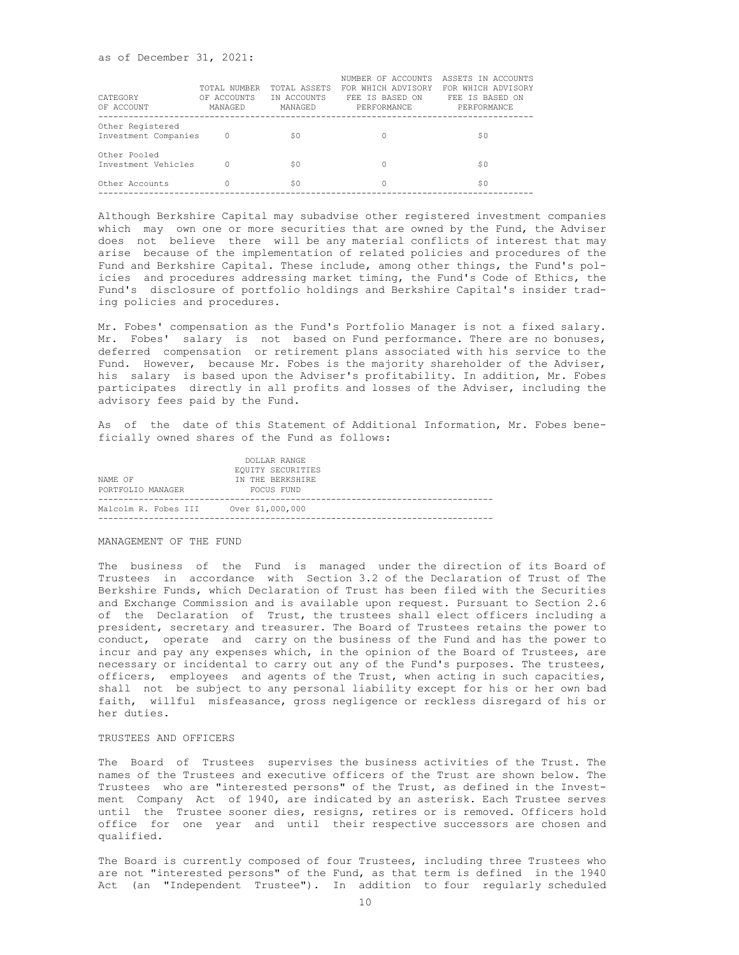| CATEGORY<br>OF ACCOUNT                   | TOTAL NUMBER<br>OF ACCOUNTS<br>MANAGED | TOTAL ASSETS<br>IN ACCOUNTS<br>MANAGED | NUMBER OF ACCOUNTS<br>FOR WHICH ADVISORY<br>FEE IS BASED ON<br>PERFORMANCE | ASSETS IN ACCOUNTS<br>FOR WHICH ADVISORY<br>FEE IS BASED ON<br>PERFORMANCE |
|------------------------------------------|----------------------------------------|----------------------------------------|----------------------------------------------------------------------------|----------------------------------------------------------------------------|
| Other Registered<br>Investment Companies | 0                                      | \$0                                    |                                                                            | 50                                                                         |
| Other Pooled<br>Investment Vehicles      | $\Omega$                               | \$0                                    |                                                                            | \$0                                                                        |
| Other Accounts                           |                                        | \$0                                    |                                                                            | \$0                                                                        |

Although Berkshire Capital may subadvise other registered investment companies which may own one or more securities that are owned by the Fund, the Adviser does not believe there will be any material conflicts of interest that may arise because of the implementation of related policies and procedures of the Fund and Berkshire Capital. These include, among other things, the Fund's policies and procedures addressing market timing, the Fund's Code of Ethics, the Fund's disclosure of portfolio holdings and Berkshire Capital's insider trading policies and procedures.

Mr. Fobes' compensation as the Fund's Portfolio Manager is not a fixed salary. Mr. Fobes' salary is not based on Fund performance. There are no bonuses, deferred compensation or retirement plans associated with his service to the Fund. However, because Mr. Fobes is the majority shareholder of the Adviser, his salary is based upon the Adviser's profitability. In addition, Mr. Fobes participates directly in all profits and losses of the Adviser, including the advisory fees paid by the Fund.

As of the date of this Statement of Additional Information, Mr. Fobes beneficially owned shares of the Fund as follows:

|                                       | DOLLAR RANGE      |
|---------------------------------------|-------------------|
|                                       | EQUITY SECURITIES |
| NAME OF                               | IN THE BERKSHIRE  |
| PORTFOLIO MANAGER                     | FOCUS FUND        |
|                                       |                   |
| Malcolm R. Fobes III Over \$1,000,000 |                   |
|                                       |                   |

#### MANAGEMENT OF THE FUND

The business of the Fund is managed under the direction of its Board of Trustees in accordance with Section 3.2 of the Declaration of Trust of The Berkshire Funds, which Declaration of Trust has been filed with the Securities and Exchange Commission and is available upon request. Pursuant to Section 2.6 of the Declaration of Trust, the trustees shall elect officers including a president, secretary and treasurer. The Board of Trustees retains the power to conduct, operate and carry on the business of the Fund and has the power to incur and pay any expenses which, in the opinion of the Board of Trustees, are necessary or incidental to carry out any of the Fund's purposes. The trustees, officers, employees and agents of the Trust, when acting in such capacities, shall not be subject to any personal liability except for his or her own bad faith, willful misfeasance, gross negligence or reckless disregard of his or her duties.

#### TRUSTEES AND OFFICERS

The Board of Trustees supervises the business activities of the Trust. The names of the Trustees and executive officers of the Trust are shown below. The Trustees who are "interested persons" of the Trust, as defined in the Investment Company Act of 1940, are indicated by an asterisk. Each Trustee serves until the Trustee sooner dies, resigns, retires or is removed. Officers hold office for one year and until their respective successors are chosen and qualified.

The Board is currently composed of four Trustees, including three Trustees who are not "interested persons" of the Fund, as that term is defined in the 1940 Act (an "Independent Trustee"). In addition to four regularly scheduled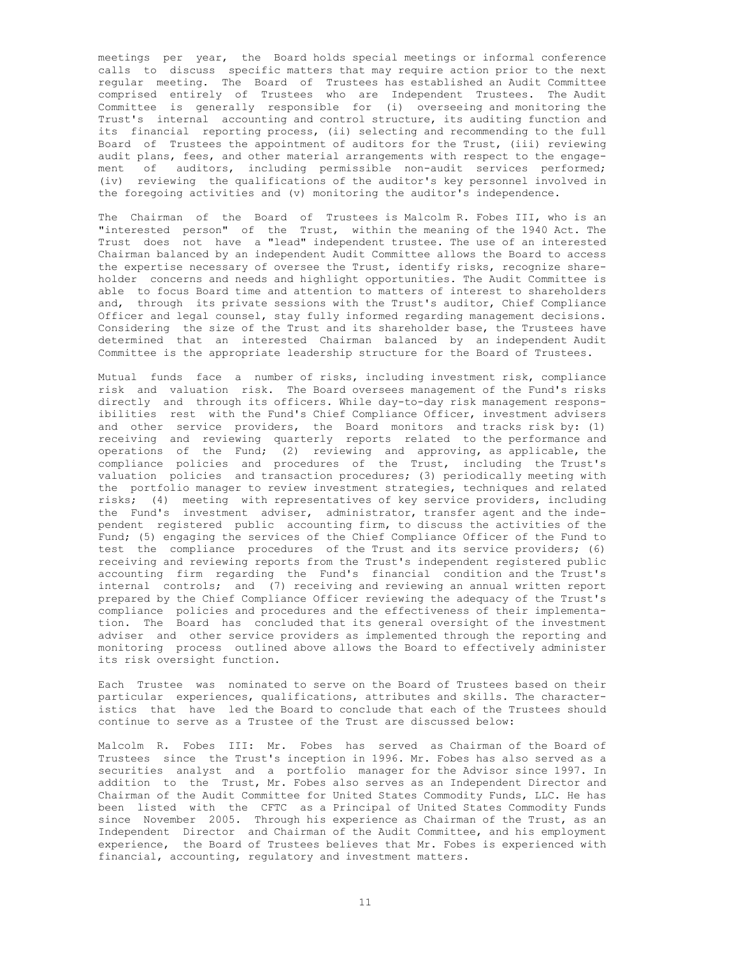meetings per year, the Board holds special meetings or informal conference calls to discuss specific matters that may require action prior to the next regular meeting. The Board of Trustees has established an Audit Committee comprised entirely of Trustees who are Independent Trustees. The Audit Committee is generally responsible for (i) overseeing and monitoring the Trust's internal accounting and control structure, its auditing function and its financial reporting process, (ii) selecting and recommending to the full Board of Trustees the appointment of auditors for the Trust, (iii) reviewing audit plans, fees, and other material arrangements with respect to the engagement of auditors, including permissible non-audit services performed; (iv) reviewing the qualifications of the auditor's key personnel involved in the foregoing activities and (v) monitoring the auditor's independence.

The Chairman of the Board of Trustees is Malcolm R. Fobes III, who is an "interested person" of the Trust, within the meaning of the 1940 Act. The Trust does not have a "lead" independent trustee. The use of an interested Chairman balanced by an independent Audit Committee allows the Board to access the expertise necessary of oversee the Trust, identify risks, recognize shareholder concerns and needs and highlight opportunities. The Audit Committee is able to focus Board time and attention to matters of interest to shareholders and, through its private sessions with the Trust's auditor, Chief Compliance Officer and legal counsel, stay fully informed regarding management decisions. Considering the size of the Trust and its shareholder base, the Trustees have determined that an interested Chairman balanced by an independent Audit Committee is the appropriate leadership structure for the Board of Trustees.

Mutual funds face a number of risks, including investment risk, compliance risk and valuation risk. The Board oversees management of the Fund's risks directly and through its officers. While day-to-day risk management responsibilities rest with the Fund's Chief Compliance Officer, investment advisers and other service providers, the Board monitors and tracks risk by: (1) receiving and reviewing quarterly reports related to the performance and operations of the Fund; (2) reviewing and approving, as applicable, the compliance policies and procedures of the Trust, including the Trust's valuation policies and transaction procedures; (3) periodically meeting with the portfolio manager to review investment strategies, techniques and related risks; (4) meeting with representatives of key service providers, including the Fund's investment adviser, administrator, transfer agent and the independent registered public accounting firm, to discuss the activities of the Fund; (5) engaging the services of the Chief Compliance Officer of the Fund to test the compliance procedures of the Trust and its service providers; (6) receiving and reviewing reports from the Trust's independent registered public accounting firm regarding the Fund's financial condition and the Trust's internal controls; and (7) receiving and reviewing an annual written report prepared by the Chief Compliance Officer reviewing the adequacy of the Trust's compliance policies and procedures and the effectiveness of their implementation. The Board has concluded that its general oversight of the investment adviser and other service providers as implemented through the reporting and monitoring process outlined above allows the Board to effectively administer its risk oversight function.

Each Trustee was nominated to serve on the Board of Trustees based on their particular experiences, qualifications, attributes and skills. The characteristics that have led the Board to conclude that each of the Trustees should continue to serve as a Trustee of the Trust are discussed below:

Malcolm R. Fobes III: Mr. Fobes has served as Chairman of the Board of Trustees since the Trust's inception in 1996. Mr. Fobes has also served as a securities analyst and a portfolio manager for the Advisor since 1997. In addition to the Trust, Mr. Fobes also serves as an Independent Director and Chairman of the Audit Committee for United States Commodity Funds, LLC. He has been listed with the CFTC as a Principal of United States Commodity Funds since November 2005. Through his experience as Chairman of the Trust, as an Independent Director and Chairman of the Audit Committee, and his employment experience, the Board of Trustees believes that Mr. Fobes is experienced with financial, accounting, regulatory and investment matters.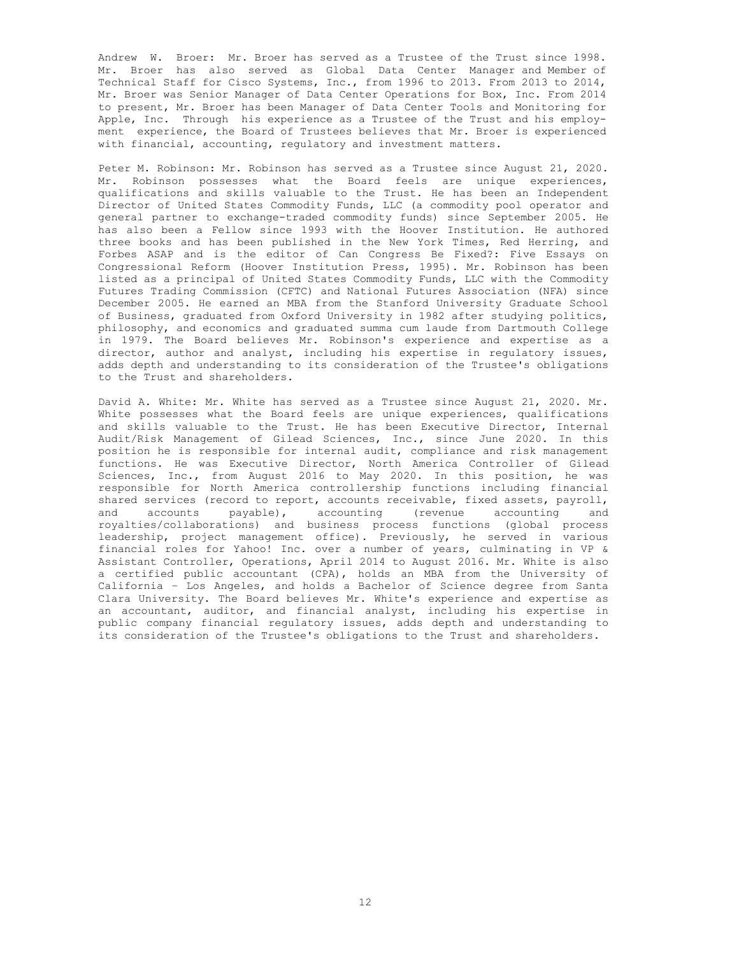Andrew W. Broer: Mr. Broer has served as a Trustee of the Trust since 1998. Mr. Broer has also served as Global Data Center Manager and Member of Technical Staff for Cisco Systems, Inc., from 1996 to 2013. From 2013 to 2014, Mr. Broer was Senior Manager of Data Center Operations for Box, Inc. From 2014 to present, Mr. Broer has been Manager of Data Center Tools and Monitoring for Apple, Inc. Through his experience as a Trustee of the Trust and his employment experience, the Board of Trustees believes that Mr. Broer is experienced with financial, accounting, regulatory and investment matters.

Peter M. Robinson: Mr. Robinson has served as a Trustee since August 21, 2020. Mr. Robinson possesses what the Board feels are unique experiences, qualifications and skills valuable to the Trust. He has been an Independent Director of United States Commodity Funds, LLC (a commodity pool operator and general partner to exchange-traded commodity funds) since September 2005. He has also been a Fellow since 1993 with the Hoover Institution. He authored three books and has been published in the New York Times, Red Herring, and Forbes ASAP and is the editor of Can Congress Be Fixed?: Five Essays on Congressional Reform (Hoover Institution Press, 1995). Mr. Robinson has been listed as a principal of United States Commodity Funds, LLC with the Commodity Futures Trading Commission (CFTC) and National Futures Association (NFA) since December 2005. He earned an MBA from the Stanford University Graduate School of Business, graduated from Oxford University in 1982 after studying politics, philosophy, and economics and graduated summa cum laude from Dartmouth College in 1979. The Board believes Mr. Robinson's experience and expertise as a director, author and analyst, including his expertise in regulatory issues, adds depth and understanding to its consideration of the Trustee's obligations to the Trust and shareholders.

David A. White: Mr. White has served as a Trustee since August 21, 2020. Mr. White possesses what the Board feels are unique experiences, qualifications and skills valuable to the Trust. He has been Executive Director, Internal Audit/Risk Management of Gilead Sciences, Inc., since June 2020. In this position he is responsible for internal audit, compliance and risk management functions. He was Executive Director, North America Controller of Gilead Sciences, Inc., from August 2016 to May 2020. In this position, he was responsible for North America controllership functions including financial shared services (record to report, accounts receivable, fixed assets, payroll,<br>and accounts payable), accounting (revenue accounting and accounts payable), accounting (revenue accounting royalties/collaborations) and business process functions (global process leadership, project management office). Previously, he served in various financial roles for Yahoo! Inc. over a number of years, culminating in VP & Assistant Controller, Operations, April 2014 to August 2016. Mr. White is also a certified public accountant (CPA), holds an MBA from the University of California – Los Angeles, and holds a Bachelor of Science degree from Santa Clara University. The Board believes Mr. White's experience and expertise as an accountant, auditor, and financial analyst, including his expertise in public company financial regulatory issues, adds depth and understanding to its consideration of the Trustee's obligations to the Trust and shareholders.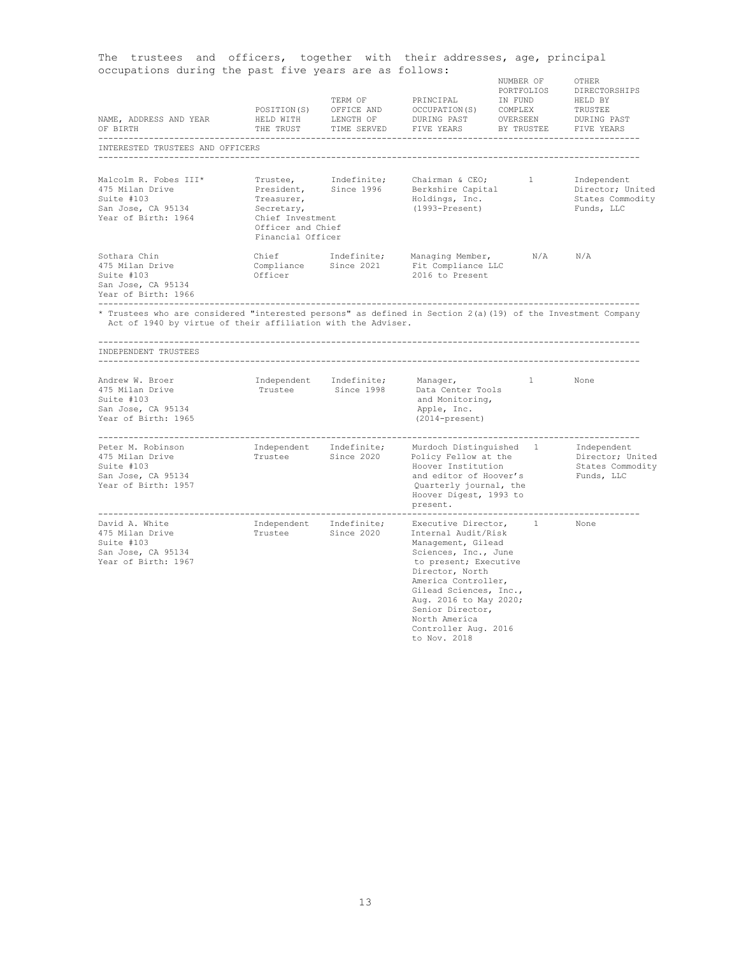| The trustees and officers, together with their addresses, age, principal<br>occupations during the past five years are as follows:                                                                  |                                                                                                      |                                               |                                                                                                                                                                                                                                                                                                                                                                                                                                                                                                      |                         |                                                    |
|-----------------------------------------------------------------------------------------------------------------------------------------------------------------------------------------------------|------------------------------------------------------------------------------------------------------|-----------------------------------------------|------------------------------------------------------------------------------------------------------------------------------------------------------------------------------------------------------------------------------------------------------------------------------------------------------------------------------------------------------------------------------------------------------------------------------------------------------------------------------------------------------|-------------------------|----------------------------------------------------|
| NAME, ADDRESS AND YEAR<br>OF BIRTH                                                                                                                                                                  |                                                                                                      |                                               | $\begin{tabular}{l l l l l} \multicolumn{2}{c}{\textbf{PERM OF}} & \multicolumn{2}{c}{\textbf{PRINCIPAL}} & \multicolumn{2}{c}{\textbf{IN FUND}} & \multicolumn{2}{c}{\textbf{HELD BY}} \\ \multicolumn{2}{c}{\textbf{POSITION}(S)} & \multicolumn{2}{c}{\textbf{OFFICE AND}} & \multicolumn{2}{c}{\textbf{OCCUPATION}(S)} & \multicolumn{2}{c}{\textbf{C}CUPATION(S)} & \multicolumn{2}{c}{\textbf{C}CUPATION(S)} & \multicolumn{2}{c}{\textbf{COMPLEX}} & \multicolumn{2}{c}{\textbf{FELD BY}} \\$ | NUMBER OF<br>PORTFOLIOS | OTHER<br>DIRECTORSHIPS<br>DURING PAST              |
| INTERESTED TRUSTEES AND OFFICERS                                                                                                                                                                    |                                                                                                      |                                               |                                                                                                                                                                                                                                                                                                                                                                                                                                                                                                      |                         |                                                    |
| Malcolm R. Fobes III*<br>475 Milan Drive<br>Suite #103<br>San Jose, CA 95134<br>Year of Birth: 1964                                                                                                 | President,<br>Treasurer,<br>Secretary,<br>Chief Investment<br>Officer and Chief<br>Financial Officer | since 1996                                    | Trustee, Indefinite; Chairman & CEO; 1 Independent<br>Berkshire Capital<br>Holdings, Inc.<br>(1993-Present)                                                                                                                                                                                                                                                                                                                                                                                          |                         | Director; United<br>States Commodity<br>Funds, LLC |
| Sothara Chin<br>475 Milan Drive<br>Suite #103<br>San Jose, CA 95134<br>Year of Birth: 1966                                                                                                          | Officer                                                                                              |                                               | Chief Indefinite; Managing Member,<br>Compliance Since 2021 Fit Compliance LLC<br>2016 to Present                                                                                                                                                                                                                                                                                                                                                                                                    | N/A                     | N/A                                                |
| * Trustees who are considered "interested persons" as defined in Section 2(a)(19) of the Investment Company<br>Act of 1940 by virtue of their affiliation with the Adviser.<br>INDEPENDENT TRUSTEES |                                                                                                      |                                               |                                                                                                                                                                                                                                                                                                                                                                                                                                                                                                      |                         |                                                    |
| Andrew W. Broer<br>475 Milan Drive<br>Suite #103<br>San Jose, CA 95134<br>Year of Birth: 1965                                                                                                       | Independent Indefinite;<br>Trustee Since 1998                                                        |                                               | Manager,<br>Data Center Tools<br>and Monitoring,<br>Apple, Inc.<br>$(2014-present)$                                                                                                                                                                                                                                                                                                                                                                                                                  | 1                       | None                                               |
| Peter M. Robinson<br>475 Milan Drive<br>Suite #103<br>San Jose, CA 95134<br>Year of Birth: 1957                                                                                                     |                                                                                                      |                                               | Independent Indefinite; Murdoch-Distinguished 1 Independent<br>Trustee Since 2020 Policy Fellow at the Director; United<br>Magnetiation Citates Cempediture<br>Hoover Institution<br>and editor of Hoover's<br>Quarterly journal, the<br>Hoover Digest, 1993 to<br>present.                                                                                                                                                                                                                          |                         | States Commodity<br>Funds, LLC                     |
| David A. White<br>475 Milan Drive<br>Suite #103<br>San Jose, CA 95134<br>Year of Birth: 1967                                                                                                        |                                                                                                      | Independent Indefinite;<br>Trustee Since 2020 | Executive Director, 1<br>Internal Audit/Risk<br>Management, Gilead<br>Sciences, Inc., June<br>to present; Executive<br>Director, North<br>America Controller,<br>Gilead Sciences, Inc.,<br>Aug. 2016 to May 2020;<br>Senior Director,<br>North America<br>Controller Aug. 2016<br>to Nov. 2018                                                                                                                                                                                                       |                         | None                                               |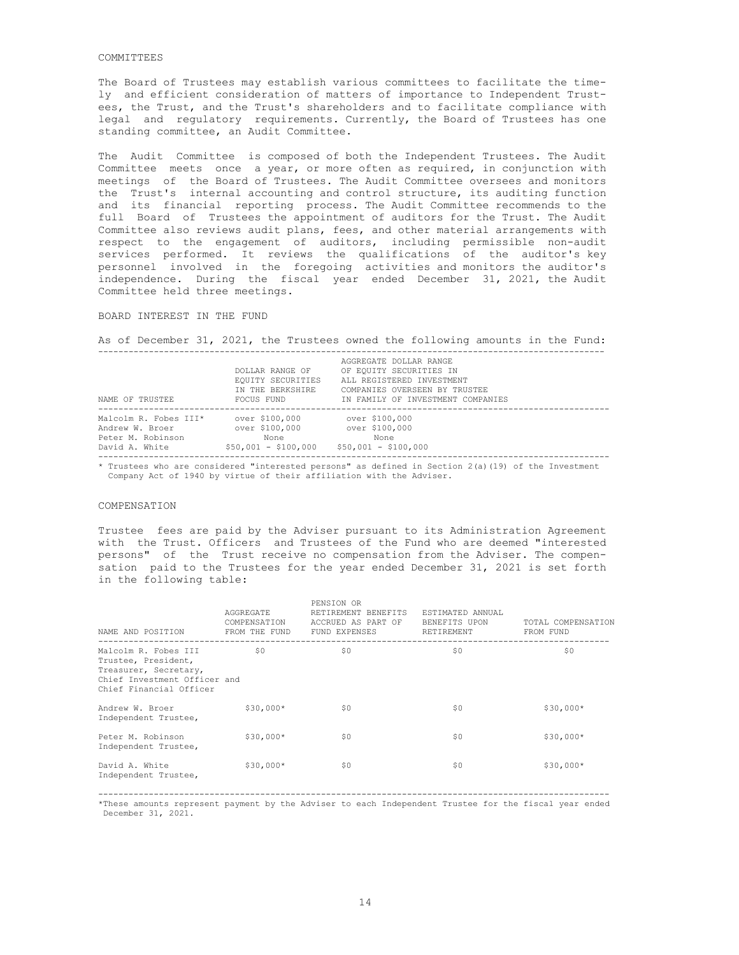### COMMITTEES

The Board of Trustees may establish various committees to facilitate the timely and efficient consideration of matters of importance to Independent Trustees, the Trust, and the Trust's shareholders and to facilitate compliance with legal and regulatory requirements. Currently, the Board of Trustees has one standing committee, an Audit Committee.

The Audit Committee is composed of both the Independent Trustees. The Audit Committee meets once a year, or more often as required, in conjunction with meetings of the Board of Trustees. The Audit Committee oversees and monitors the Trust's internal accounting and control structure, its auditing function and its financial reporting process. The Audit Committee recommends to the full Board of Trustees the appointment of auditors for the Trust. The Audit Committee also reviews audit plans, fees, and other material arrangements with respect to the engagement of auditors, including permissible non-audit services performed. It reviews the qualifications of the auditor's key personnel involved in the foregoing activities and monitors the auditor's independence. During the fiscal year ended December 31, 2021, the Audit Committee held three meetings.

## BOARD INTEREST IN THE FUND

As of December 31, 2021, the Trustees owned the following amounts in the Fund:

| NAME OF TRUSTEE                                                                 | DOLLAR RANGE OF<br>EOUITY SECURITIES<br>IN THE BERKSHIRE<br>FOCUS FUND | AGGREGATE DOLLAR RANGE<br>OF EOUITY SECURITIES IN<br>ALL REGISTERED INVESTMENT<br>COMPANIES OVERSEEN BY TRUSTEE<br>IN FAMILY OF INVESTMENT COMPANIES |
|---------------------------------------------------------------------------------|------------------------------------------------------------------------|------------------------------------------------------------------------------------------------------------------------------------------------------|
| Malcolm R. Fobes III*<br>Andrew W. Broer<br>Peter M. Robinson<br>David A. White | over \$100,000<br>over \$100,000<br>None<br>$$50,001 - $100,000$       | over \$100,000<br>over \$100,000<br>None<br>$$50,001 - $100,000$                                                                                     |

\* Trustees who are considered "interested persons" as defined in Section 2(a)(19) of the Investment Company Act of 1940 by virtue of their affiliation with the Adviser.

#### COMPENSATION

Trustee fees are paid by the Adviser pursuant to its Administration Agreement with the Trust. Officers and Trustees of the Fund who are deemed "interested persons" of the Trust receive no compensation from the Adviser. The compensation paid to the Trustees for the year ended December 31, 2021 is set forth in the following table:

| NAME AND POSITION                                                                                                               | AGGREGATE<br>COMPENSATION<br>FROM THE FUND FUND EXPENSES | PENSION OR<br>RETIREMENT BENEFITS<br>ACCRUED AS PART OF | ESTIMATED ANNUAL<br>BENEFITS UPON<br>RETIREMENT | TOTAL COMPENSATION<br>FROM FUND |
|---------------------------------------------------------------------------------------------------------------------------------|----------------------------------------------------------|---------------------------------------------------------|-------------------------------------------------|---------------------------------|
| Malcolm R. Fobes III<br>Trustee, President,<br>Treasurer, Secretary,<br>Chief Investment Officer and<br>Chief Financial Officer | \$0                                                      | \$0                                                     | \$0                                             | \$0                             |
| Andrew W. Broer<br>Independent Trustee,                                                                                         | $$30.000*$                                               | \$0                                                     | \$0                                             | $$30,000*$                      |
| Peter M. Robinson<br>Independent Trustee,                                                                                       | $$30,000*$                                               | \$0                                                     | \$0                                             | $$30,000*$                      |
| David A. White<br>Independent Trustee,                                                                                          | $$30.000*$                                               | \$0                                                     | \$0                                             | $$30,000*$                      |

\*These amounts represent payment by the Adviser to each Independent Trustee for the fiscal year ended December 31, 2021.

-----------------------------------------------------------------------------------------------------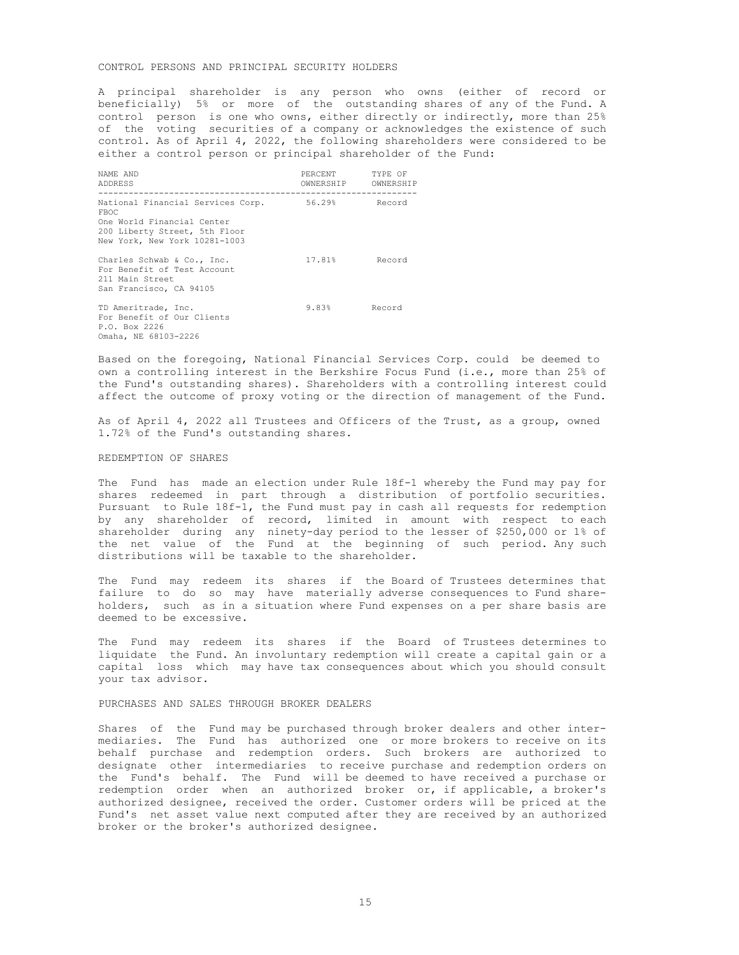## CONTROL PERSONS AND PRINCIPAL SECURITY HOLDERS

A principal shareholder is any person who owns (either of record or beneficially) 5% or more of the outstanding shares of any of the Fund. A control person is one who owns, either directly or indirectly, more than 25% of the voting securities of a company or acknowledges the existence of such control. As of April 4, 2022, the following shareholders were considered to be either a control person or principal shareholder of the Fund:

| NAME AND<br>ADDRESS                                                                                                                                            | PERCENT TYPE OF<br>OWNERSHIP OWNERSHIP |  |
|----------------------------------------------------------------------------------------------------------------------------------------------------------------|----------------------------------------|--|
| National Financial Services Corp. 56.29% Record<br><b>FBOC</b><br>One World Financial Center<br>200 Liberty Street, 5th Floor<br>New York, New York 10281-1003 |                                        |  |
| Charles Schwab & Co., Inc.<br>For Benefit of Test Account<br>211 Main Street<br>San Francisco, CA 94105                                                        | 17.81% Record                          |  |
| TD Ameritrade, Inc.<br>For Benefit of Our Clients<br>P.O. Box 2226<br>Omaha, NE 68103-2226                                                                     | 9.83% Record                           |  |

Based on the foregoing, National Financial Services Corp. could be deemed to own a controlling interest in the Berkshire Focus Fund (i.e., more than 25% of the Fund's outstanding shares). Shareholders with a controlling interest could affect the outcome of proxy voting or the direction of management of the Fund.

As of April 4, 2022 all Trustees and Officers of the Trust, as a group, owned 1.72% of the Fund's outstanding shares.

#### REDEMPTION OF SHARES

The Fund has made an election under Rule 18f-1 whereby the Fund may pay for shares redeemed in part through a distribution of portfolio securities. Pursuant to Rule 18f-1, the Fund must pay in cash all requests for redemption by any shareholder of record, limited in amount with respect to each shareholder during any ninety-day period to the lesser of \$250,000 or 1% of the net value of the Fund at the beginning of such period. Any such distributions will be taxable to the shareholder.

The Fund may redeem its shares if the Board of Trustees determines that failure to do so may have materially adverse consequences to Fund shareholders, such as in a situation where Fund expenses on a per share basis are deemed to be excessive.

The Fund may redeem its shares if the Board of Trustees determines to liquidate the Fund. An involuntary redemption will create a capital gain or a capital loss which may have tax consequences about which you should consult your tax advisor.

# PURCHASES AND SALES THROUGH BROKER DEALERS

Shares of the Fund may be purchased through broker dealers and other intermediaries. The Fund has authorized one or more brokers to receive on its behalf purchase and redemption orders. Such brokers are authorized to designate other intermediaries to receive purchase and redemption orders on the Fund's behalf. The Fund will be deemed to have received a purchase or redemption order when an authorized broker or, if applicable, a broker's authorized designee, received the order. Customer orders will be priced at the Fund's net asset value next computed after they are received by an authorized broker or the broker's authorized designee.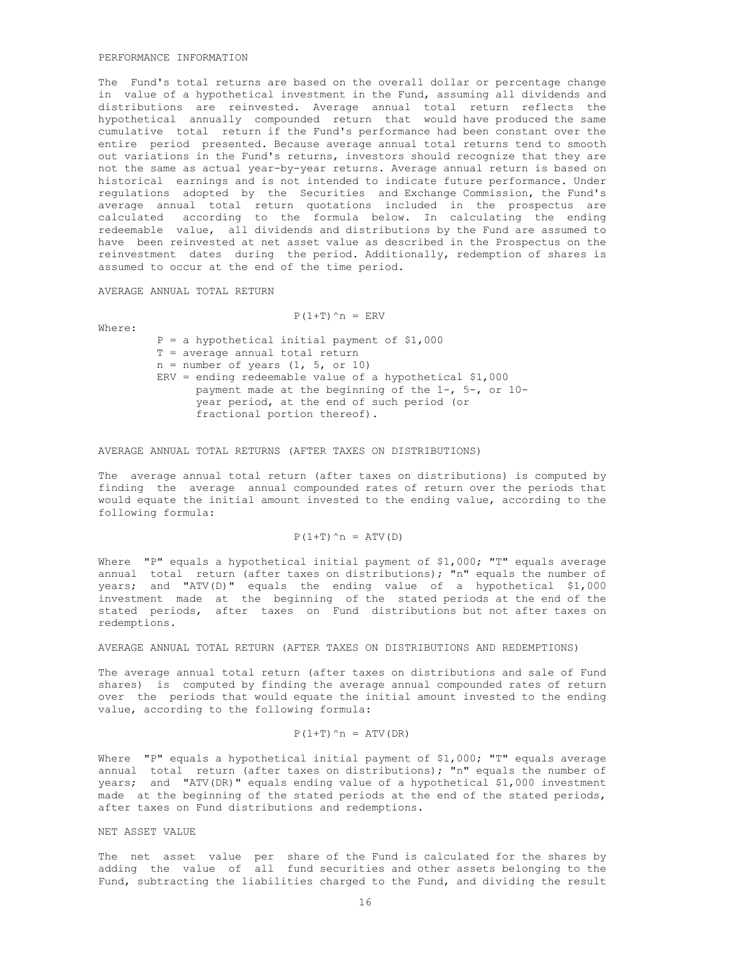## PERFORMANCE INFORMATION

The Fund's total returns are based on the overall dollar or percentage change in value of a hypothetical investment in the Fund, assuming all dividends and distributions are reinvested. Average annual total return reflects the hypothetical annually compounded return that would have produced the same cumulative total return if the Fund's performance had been constant over the entire period presented. Because average annual total returns tend to smooth out variations in the Fund's returns, investors should recognize that they are not the same as actual year-by-year returns. Average annual return is based on historical earnings and is not intended to indicate future performance. Under regulations adopted by the Securities and Exchange Commission, the Fund's average annual total return quotations included in the prospectus are calculated according to the formula below. In calculating the ending redeemable value, all dividends and distributions by the Fund are assumed to have been reinvested at net asset value as described in the Prospectus on the reinvestment dates during the period. Additionally, redemption of shares is assumed to occur at the end of the time period.

AVERAGE ANNUAL TOTAL RETURN

#### $P(1+T)^n$  = ERV

Where:

 $P = a$  hypothetical initial payment of \$1,000 T = average annual total return  $n = number of years (1, 5, or 10)$  ERV = ending redeemable value of a hypothetical \$1,000 payment made at the beginning of the 1-, 5-, or 10 year period, at the end of such period (or fractional portion thereof).

AVERAGE ANNUAL TOTAL RETURNS (AFTER TAXES ON DISTRIBUTIONS)

The average annual total return (after taxes on distributions) is computed by finding the average annual compounded rates of return over the periods that would equate the initial amount invested to the ending value, according to the following formula:

# $P(1+T)^n = ATV(D)$

Where "P" equals a hypothetical initial payment of \$1,000; "T" equals average annual total return (after taxes on distributions); "n" equals the number of years; and "ATV(D)" equals the ending value of a hypothetical \$1,000 investment made at the beginning of the stated periods at the end of the stated periods, after taxes on Fund distributions but not after taxes on redemptions.

AVERAGE ANNUAL TOTAL RETURN (AFTER TAXES ON DISTRIBUTIONS AND REDEMPTIONS)

The average annual total return (after taxes on distributions and sale of Fund shares) is computed by finding the average annual compounded rates of return over the periods that would equate the initial amount invested to the ending value, according to the following formula:

#### $P(1+T)^n = ATV(DR)$

Where "P" equals a hypothetical initial payment of \$1,000; "T" equals average annual total return (after taxes on distributions); "n" equals the number of years; and "ATV(DR)" equals ending value of a hypothetical \$1,000 investment made at the beginning of the stated periods at the end of the stated periods, after taxes on Fund distributions and redemptions.

NET ASSET VALUE

The net asset value per share of the Fund is calculated for the shares by adding the value of all fund securities and other assets belonging to the Fund, subtracting the liabilities charged to the Fund, and dividing the result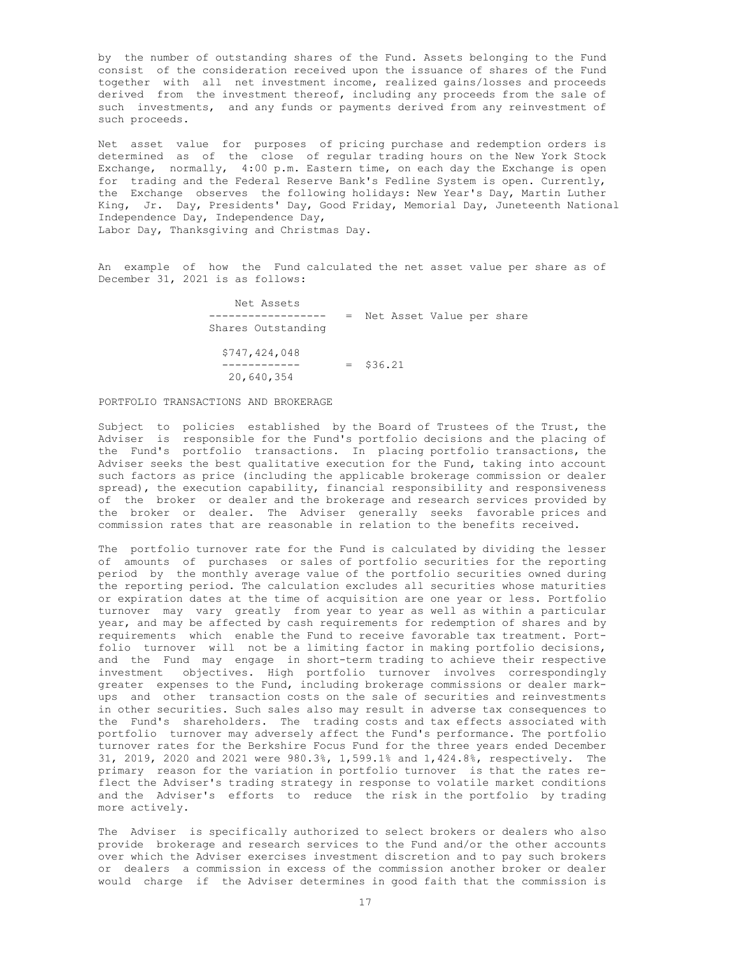by the number of outstanding shares of the Fund. Assets belonging to the Fund consist of the consideration received upon the issuance of shares of the Fund together with all net investment income, realized gains/losses and proceeds derived from the investment thereof, including any proceeds from the sale of such investments, and any funds or payments derived from any reinvestment of such proceeds.

Net asset value for purposes of pricing purchase and redemption orders is determined as of the close of regular trading hours on the New York Stock Exchange, normally, 4:00 p.m. Eastern time, on each day the Exchange is open for trading and the Federal Reserve Bank's Fedline System is open. Currently, the Exchange observes the following holidays: New Year's Day, Martin Luther King, Jr. Day, Presidents' Day, Good Friday, Memorial Day, Juneteenth National Independence Day, Independence Day, Labor Day, Thanksgiving and Christmas Day.

An example of how the Fund calculated the net asset value per share as of

 Net Assets ------------------ = Net Asset Value per share Shares Outstanding \$747,424,048 ------------ = \$36.21 20,640,354

#### PORTFOLIO TRANSACTIONS AND BROKERAGE

December 31, 2021 is as follows:

Subject to policies established by the Board of Trustees of the Trust, the Adviser is responsible for the Fund's portfolio decisions and the placing of the Fund's portfolio transactions. In placing portfolio transactions, the Adviser seeks the best qualitative execution for the Fund, taking into account such factors as price (including the applicable brokerage commission or dealer spread), the execution capability, financial responsibility and responsiveness of the broker or dealer and the brokerage and research services provided by the broker or dealer. The Adviser generally seeks favorable prices and commission rates that are reasonable in relation to the benefits received.

The portfolio turnover rate for the Fund is calculated by dividing the lesser of amounts of purchases or sales of portfolio securities for the reporting period by the monthly average value of the portfolio securities owned during the reporting period. The calculation excludes all securities whose maturities or expiration dates at the time of acquisition are one year or less. Portfolio turnover may vary greatly from year to year as well as within a particular year, and may be affected by cash requirements for redemption of shares and by requirements which enable the Fund to receive favorable tax treatment. Portfolio turnover will not be a limiting factor in making portfolio decisions, and the Fund may engage in short-term trading to achieve their respective investment objectives. High portfolio turnover involves correspondingly greater expenses to the Fund, including brokerage commissions or dealer markups and other transaction costs on the sale of securities and reinvestments in other securities. Such sales also may result in adverse tax consequences to the Fund's shareholders. The trading costs and tax effects associated with portfolio turnover may adversely affect the Fund's performance. The portfolio turnover rates for the Berkshire Focus Fund for the three years ended December 31, 2019, 2020 and 2021 were 980.3%, 1,599.1% and 1,424.8%, respectively. The primary reason for the variation in portfolio turnover is that the rates reflect the Adviser's trading strategy in response to volatile market conditions and the Adviser's efforts to reduce the risk in the portfolio by trading more actively.

The Adviser is specifically authorized to select brokers or dealers who also provide brokerage and research services to the Fund and/or the other accounts over which the Adviser exercises investment discretion and to pay such brokers or dealers a commission in excess of the commission another broker or dealer would charge if the Adviser determines in good faith that the commission is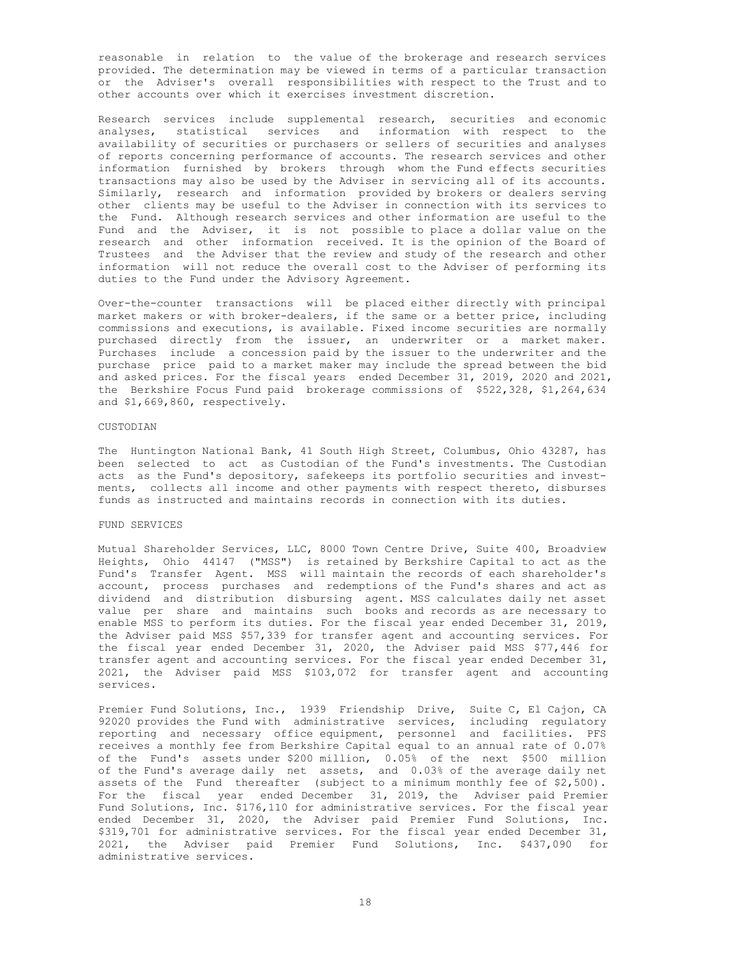reasonable in relation to the value of the brokerage and research services provided. The determination may be viewed in terms of a particular transaction or the Adviser's overall responsibilities with respect to the Trust and to other accounts over which it exercises investment discretion.

Research services include supplemental research, securities and economic analyses, statistical services and information with respect to the availability of securities or purchasers or sellers of securities and analyses of reports concerning performance of accounts. The research services and other information furnished by brokers through whom the Fund effects securities transactions may also be used by the Adviser in servicing all of its accounts. Similarly, research and information provided by brokers or dealers serving other clients may be useful to the Adviser in connection with its services to the Fund. Although research services and other information are useful to the Fund and the Adviser, it is not possible to place a dollar value on the research and other information received. It is the opinion of the Board of Trustees and the Adviser that the review and study of the research and other information will not reduce the overall cost to the Adviser of performing its duties to the Fund under the Advisory Agreement.

Over-the-counter transactions will be placed either directly with principal market makers or with broker-dealers, if the same or a better price, including commissions and executions, is available. Fixed income securities are normally purchased directly from the issuer, an underwriter or a market maker. Purchases include a concession paid by the issuer to the underwriter and the purchase price paid to a market maker may include the spread between the bid and asked prices. For the fiscal years ended December 31, 2019, 2020 and 2021, the Berkshire Focus Fund paid brokerage commissions of \$522,328, \$1,264,634 and \$1,669,860, respectively.

#### CUSTODIAN

The Huntington National Bank, 41 South High Street, Columbus, Ohio 43287, has been selected to act as Custodian of the Fund's investments. The Custodian acts as the Fund's depository, safekeeps its portfolio securities and investments, collects all income and other payments with respect thereto, disburses funds as instructed and maintains records in connection with its duties.

#### FUND SERVICES

Mutual Shareholder Services, LLC, 8000 Town Centre Drive, Suite 400, Broadview Heights, Ohio 44147 ("MSS") is retained by Berkshire Capital to act as the Fund's Transfer Agent. MSS will maintain the records of each shareholder's account, process purchases and redemptions of the Fund's shares and act as dividend and distribution disbursing agent. MSS calculates daily net asset value per share and maintains such books and records as are necessary to enable MSS to perform its duties. For the fiscal year ended December 31, 2019, the Adviser paid MSS \$57,339 for transfer agent and accounting services. For the fiscal year ended December 31, 2020, the Adviser paid MSS \$77,446 for transfer agent and accounting services. For the fiscal year ended December 31, 2021, the Adviser paid MSS \$103,072 for transfer agent and accounting services.

Premier Fund Solutions, Inc., 1939 Friendship Drive, Suite C, El Cajon, CA 92020 provides the Fund with administrative services, including regulatory reporting and necessary office equipment, personnel and facilities. PFS receives a monthly fee from Berkshire Capital equal to an annual rate of 0.07% of the Fund's assets under \$200 million, 0.05% of the next \$500 million of the Fund's average daily net assets, and 0.03% of the average daily net assets of the Fund thereafter (subject to a minimum monthly fee of \$2,500). For the fiscal year ended December 31, 2019, the Adviser paid Premier Fund Solutions, Inc. \$176,110 for administrative services. For the fiscal year ended December 31, 2020, the Adviser paid Premier Fund Solutions, Inc. \$319,701 for administrative services. For the fiscal year ended December 31, 2021, the Adviser paid Premier Fund Solutions, Inc. \$437,090 for administrative services.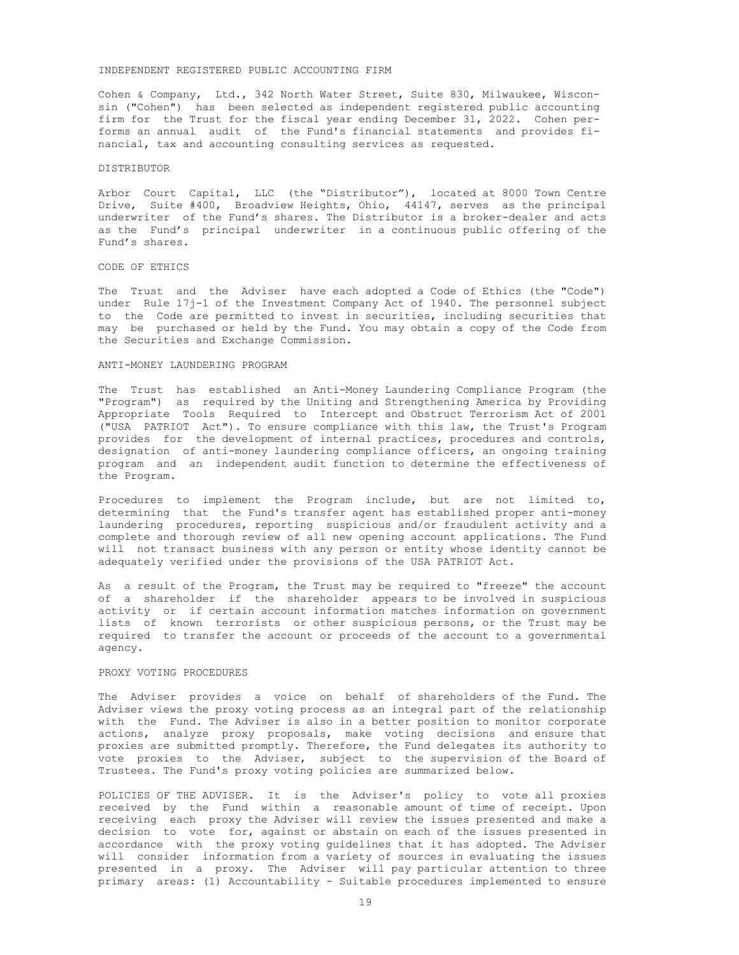#### INDEPENDENT REGISTERED PUBLIC ACCOUNTING FIRM

Cohen & Company, Ltd., 342 North Water Street, Suite 830, Milwaukee, Wisconsin ("Cohen") has been selected as independent registered public accounting firm for the Trust for the fiscal year ending December 31, 2022. Cohen performs an annual audit of the Fund's financial statements and provides financial, tax and accounting consulting services as requested.

#### DISTRIBUTOR

Arbor Court Capital, LLC (the "Distributor"), located at 8000 Town Centre Drive, Suite #400, Broadview Heights, Ohio, 44147, serves as the principal underwriter of the Fund's shares. The Distributor is a broker-dealer and acts as the Fund's principal underwriter in a continuous public offering of the Fund's shares.

## CODE OF ETHICS

The Trust and the Adviser have each adopted a Code of Ethics (the "Code") under Rule 17j-1 of the Investment Company Act of 1940. The personnel subject to the Code are permitted to invest in securities, including securities that may be purchased or held by the Fund. You may obtain a copy of the Code from the Securities and Exchange Commission.

## ANTI-MONEY LAUNDERING PROGRAM

The Trust has established an Anti-Money Laundering Compliance Program (the "Program") as required by the Uniting and Strengthening America by Providing Appropriate Tools Required to Intercept and Obstruct Terrorism Act of 2001 ("USA PATRIOT Act"). To ensure compliance with this law, the Trust's Program provides for the development of internal practices, procedures and controls, designation of anti-money laundering compliance officers, an ongoing training program and an independent audit function to determine the effectiveness of the Program.

Procedures to implement the Program include, but are not limited to, determining that the Fund's transfer agent has established proper anti-money laundering procedures, reporting suspicious and/or fraudulent activity and a complete and thorough review of all new opening account applications. The Fund will not transact business with any person or entity whose identity cannot be adequately verified under the provisions of the USA PATRIOT Act.

As a result of the Program, the Trust may be required to "freeze" the account<br>of a shareholder if the shareholder appears to be involved in suspicious a shareholder if the shareholder appears to be involved in suspicious activity or if certain account information matches information on government lists of known terrorists or other suspicious persons, or the Trust may be required to transfer the account or proceeds of the account to a governmental agency.

#### PROXY VOTING PROCEDURES

The Adviser provides a voice on behalf of shareholders of the Fund. The Adviser views the proxy voting process as an integral part of the relationship with the Fund. The Adviser is also in a better position to monitor corporate actions, analyze proxy proposals, make voting decisions and ensure that proxies are submitted promptly. Therefore, the Fund delegates its authority to vote proxies to the Adviser, subject to the supervision of the Board of Trustees. The Fund's proxy voting policies are summarized below.

POLICIES OF THE ADVISER. It is the Adviser's policy to vote all proxies received by the Fund within a reasonable amount of time of receipt. Upon receiving each proxy the Adviser will review the issues presented and make a decision to vote for, against or abstain on each of the issues presented in accordance with the proxy voting guidelines that it has adopted. The Adviser will consider information from a variety of sources in evaluating the issues presented in a proxy. The Adviser will pay particular attention to three primary areas: (1) Accountability - Suitable procedures implemented to ensure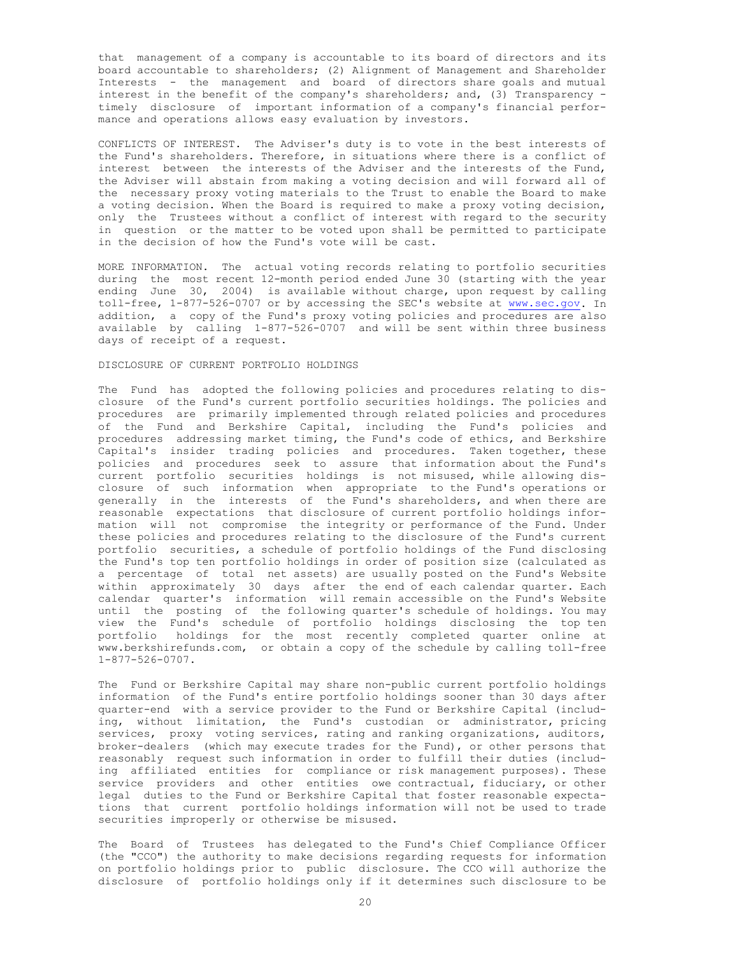that management of a company is accountable to its board of directors and its board accountable to shareholders; (2) Alignment of Management and Shareholder Interests - the management and board of directors share goals and mutual interest in the benefit of the company's shareholders; and, (3) Transparency timely disclosure of important information of a company's financial performance and operations allows easy evaluation by investors.

CONFLICTS OF INTEREST. The Adviser's duty is to vote in the best interests of the Fund's shareholders. Therefore, in situations where there is a conflict of interest between the interests of the Adviser and the interests of the Fund, the Adviser will abstain from making a voting decision and will forward all of the necessary proxy voting materials to the Trust to enable the Board to make a voting decision. When the Board is required to make a proxy voting decision, only the Trustees without a conflict of interest with regard to the security in question or the matter to be voted upon shall be permitted to participate in the decision of how the Fund's vote will be cast.

MORE INFORMATION. The actual voting records relating to portfolio securities during the most recent 12-month period ended June 30 (starting with the year ending June 30, 2004) is available without charge, upon request by calling toll-free, 1-877-526-0707 or by accessing the SEC's website at [www.sec.gov.](http://www.sec.gov/) In addition, a copy of the Fund's proxy voting policies and procedures are also available by calling 1-877-526-0707 and will be sent within three business days of receipt of a request.

# DISCLOSURE OF CURRENT PORTFOLIO HOLDINGS

The Fund has adopted the following policies and procedures relating to disclosure of the Fund's current portfolio securities holdings. The policies and procedures are primarily implemented through related policies and procedures of the Fund and Berkshire Capital, including the Fund's policies and procedures addressing market timing, the Fund's code of ethics, and Berkshire Capital's insider trading policies and procedures. Taken together, these policies and procedures seek to assure that information about the Fund's current portfolio securities holdings is not misused, while allowing disclosure of such information when appropriate to the Fund's operations or generally in the interests of the Fund's shareholders, and when there are reasonable expectations that disclosure of current portfolio holdings information will not compromise the integrity or performance of the Fund. Under these policies and procedures relating to the disclosure of the Fund's current portfolio securities, a schedule of portfolio holdings of the Fund disclosing the Fund's top ten portfolio holdings in order of position size (calculated as a percentage of total net assets) are usually posted on the Fund's Website within approximately 30 days after the end of each calendar quarter. Each calendar quarter's information will remain accessible on the Fund's Website until the posting of the following quarter's schedule of holdings. You may view the Fund's schedule of portfolio holdings disclosing the top ten<br>portfolio holdings for the most recently completed quarter online at holdings for the most recently completed quarter online at www.berkshirefunds.com, or obtain a copy of the schedule by calling toll-free 1-877-526-0707.

The Fund or Berkshire Capital may share non-public current portfolio holdings information of the Fund's entire portfolio holdings sooner than 30 days after quarter-end with a service provider to the Fund or Berkshire Capital (including, without limitation, the Fund's custodian or administrator, pricing services, proxy voting services, rating and ranking organizations, auditors, broker-dealers (which may execute trades for the Fund), or other persons that reasonably request such information in order to fulfill their duties (including affiliated entities for compliance or risk management purposes). These service providers and other entities owe contractual, fiduciary, or other legal duties to the Fund or Berkshire Capital that foster reasonable expectations that current portfolio holdings information will not be used to trade securities improperly or otherwise be misused.

The Board of Trustees has delegated to the Fund's Chief Compliance Officer (the "CCO") the authority to make decisions regarding requests for information on portfolio holdings prior to public disclosure. The CCO will authorize the disclosure of portfolio holdings only if it determines such disclosure to be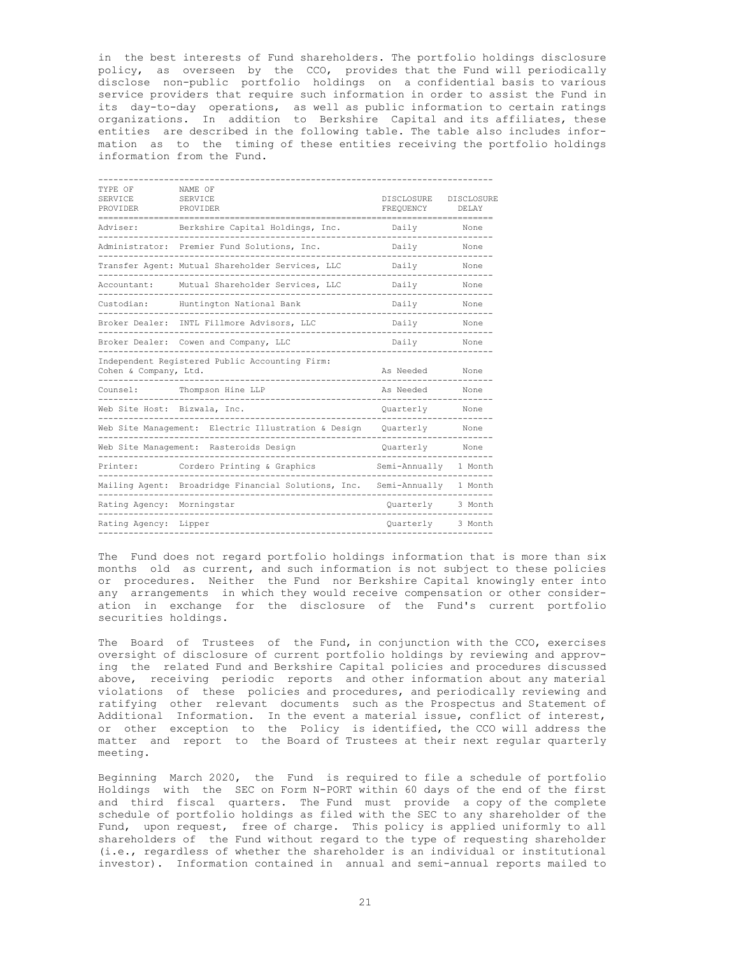in the best interests of Fund shareholders. The portfolio holdings disclosure policy, as overseen by the CCO, provides that the Fund will periodically disclose non-public portfolio holdings on a confidential basis to various service providers that require such information in order to assist the Fund in its day-to-day operations, as well as public information to certain ratings organizations. In addition to Berkshire Capital and its affiliates, these entities are described in the following table. The table also includes information as to the timing of these entities receiving the portfolio holdings information from the Fund.

| TYPE OF<br>SERVICE<br>PROVIDER | NAME OF<br>SERVICE<br>PROVIDER                      | <b>DISCLOSURE</b><br>FREQUENCY | <b>DISCLOSURE</b><br>DELAY |
|--------------------------------|-----------------------------------------------------|--------------------------------|----------------------------|
| Adviser:                       | Berkshire Capital Holdings, Inc.                    | Daily                          | None                       |
| Administrator:                 | Premier Fund Solutions, Inc.                        | Daily                          | None                       |
|                                | Transfer Agent: Mutual Shareholder Services, LLC    | Daily                          | None                       |
| Accountant:                    | Mutual Shareholder Services, LLC                    | Daily                          | None                       |
| Custodian:                     | Huntington National Bank                            | Daily                          | None                       |
| Broker Dealer:                 | INTL Fillmore Advisors, LLC                         | Daily                          | None                       |
| Broker Dealer:                 | Cowen and Company, LLC                              | Daily                          | None                       |
| Cohen & Company, Ltd.          | Independent Registered Public Accounting Firm:      | As Needed                      | None                       |
| Counsel:                       | Thompson Hine LLP                                   | As Needed                      | None                       |
| Web Site Host: Bizwala, Inc.   |                                                     | Quarterly                      | None                       |
|                                | Web Site Management: Electric Illustration & Design | Quarterly                      | None                       |
|                                | Web Site Management: Rasteroids Design              | Ouarterly                      | None                       |
| Printer:                       | Cordero Printing & Graphics                         | Semi-Annually                  | 1 Month                    |
|                                | Mailing Agent: Broadridge Financial Solutions, Inc. | Semi-Annually                  | 1 Month                    |
| Rating Agency:                 | Morningstar                                         | Quarterly                      | 3 Month                    |
| Rating Agency:                 | Lipper                                              | Quarterly                      | 3 Month                    |
|                                |                                                     |                                |                            |

The Fund does not regard portfolio holdings information that is more than six months old as current, and such information is not subject to these policies or procedures. Neither the Fund nor Berkshire Capital knowingly enter into any arrangements in which they would receive compensation or other consideration in exchange for the disclosure of the Fund's current portfolio securities holdings.

The Board of Trustees of the Fund, in conjunction with the CCO, exercises oversight of disclosure of current portfolio holdings by reviewing and approving the related Fund and Berkshire Capital policies and procedures discussed above, receiving periodic reports and other information about any material violations of these policies and procedures, and periodically reviewing and ratifying other relevant documents such as the Prospectus and Statement of Additional Information. In the event a material issue, conflict of interest, or other exception to the Policy is identified, the CCO will address the matter and report to the Board of Trustees at their next regular quarterly meeting.

Beginning March 2020, the Fund is required to file a schedule of portfolio Holdings with the SEC on Form N-PORT within 60 days of the end of the first and third fiscal quarters. The Fund must provide a copy of the complete schedule of portfolio holdings as filed with the SEC to any shareholder of the Fund, upon request, free of charge. This policy is applied uniformly to all shareholders of the Fund without regard to the type of requesting shareholder (i.e., regardless of whether the shareholder is an individual or institutional investor). Information contained in annual and semi-annual reports mailed to